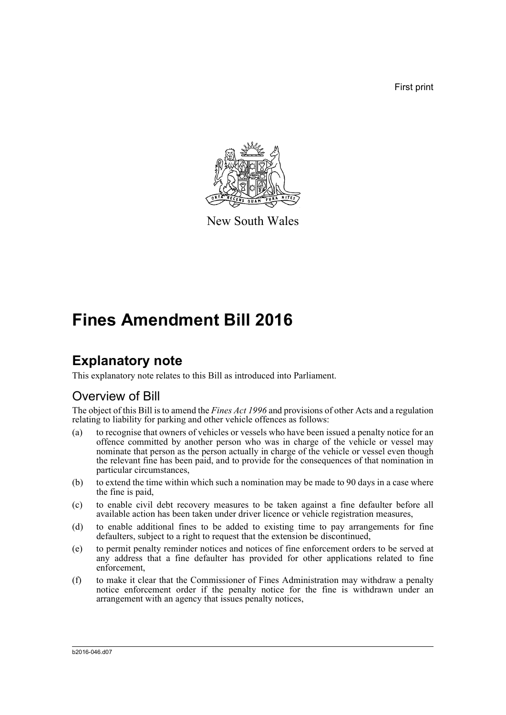First print



New South Wales

# **Fines Amendment Bill 2016**

# **Explanatory note**

This explanatory note relates to this Bill as introduced into Parliament.

# Overview of Bill

The object of this Bill is to amend the *Fines Act 1996* and provisions of other Acts and a regulation relating to liability for parking and other vehicle offences as follows:

- (a) to recognise that owners of vehicles or vessels who have been issued a penalty notice for an offence committed by another person who was in charge of the vehicle or vessel may nominate that person as the person actually in charge of the vehicle or vessel even though the relevant fine has been paid, and to provide for the consequences of that nomination in particular circumstances,
- (b) to extend the time within which such a nomination may be made to 90 days in a case where the fine is paid,
- (c) to enable civil debt recovery measures to be taken against a fine defaulter before all available action has been taken under driver licence or vehicle registration measures,
- (d) to enable additional fines to be added to existing time to pay arrangements for fine defaulters, subject to a right to request that the extension be discontinued,
- (e) to permit penalty reminder notices and notices of fine enforcement orders to be served at any address that a fine defaulter has provided for other applications related to fine enforcement,
- (f) to make it clear that the Commissioner of Fines Administration may withdraw a penalty notice enforcement order if the penalty notice for the fine is withdrawn under an arrangement with an agency that issues penalty notices,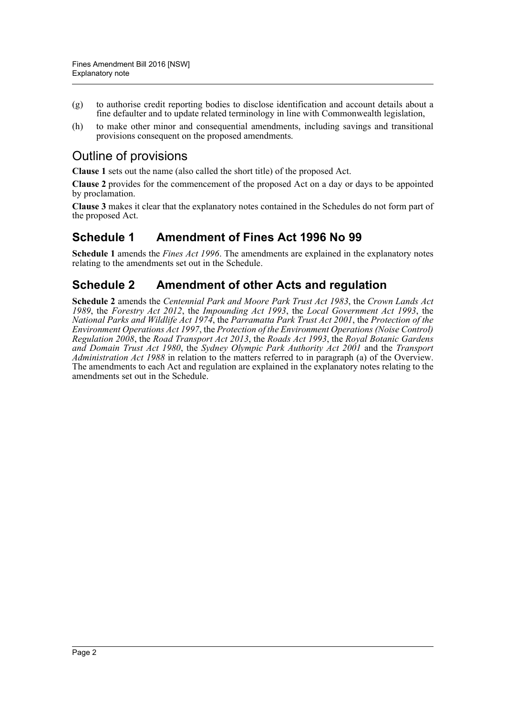- (g) to authorise credit reporting bodies to disclose identification and account details about a fine defaulter and to update related terminology in line with Commonwealth legislation,
- (h) to make other minor and consequential amendments, including savings and transitional provisions consequent on the proposed amendments.

# Outline of provisions

**Clause 1** sets out the name (also called the short title) of the proposed Act.

**Clause 2** provides for the commencement of the proposed Act on a day or days to be appointed by proclamation.

**Clause 3** makes it clear that the explanatory notes contained in the Schedules do not form part of the proposed Act.

# **Schedule 1 Amendment of Fines Act 1996 No 99**

**Schedule 1** amends the *Fines Act 1996*. The amendments are explained in the explanatory notes relating to the amendments set out in the Schedule.

# **Schedule 2 Amendment of other Acts and regulation**

**Schedule 2** amends the *Centennial Park and Moore Park Trust Act 1983*, the *Crown Lands Act 1989*, the *Forestry Act 2012*, the *Impounding Act 1993*, the *Local Government Act 1993*, the *National Parks and Wildlife Act 1974*, the *Parramatta Park Trust Act 2001*, the *Protection of the Environment Operations Act 1997*, the *Protection of the Environment Operations (Noise Control) Regulation 2008*, the *Road Transport Act 2013*, the *Roads Act 1993*, the *Royal Botanic Gardens and Domain Trust Act 1980*, the *Sydney Olympic Park Authority Act 2001* and the *Transport Administration Act 1988* in relation to the matters referred to in paragraph (a) of the Overview. The amendments to each Act and regulation are explained in the explanatory notes relating to the amendments set out in the Schedule.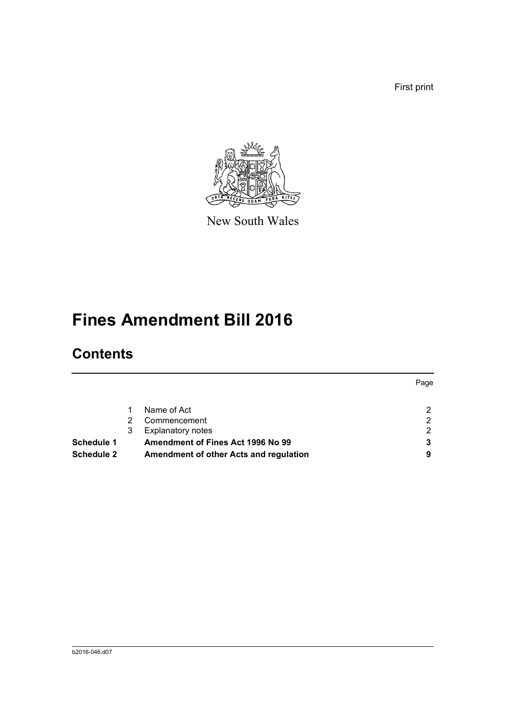First print



New South Wales

# **Fines Amendment Bill 2016**

# **Contents**

| Commencement<br>ົ<br><b>Explanatory notes</b><br>ົ<br>Amendment of Fines Act 1996 No 99 |
|-----------------------------------------------------------------------------------------|
|                                                                                         |
|                                                                                         |
|                                                                                         |
|                                                                                         |
|                                                                                         |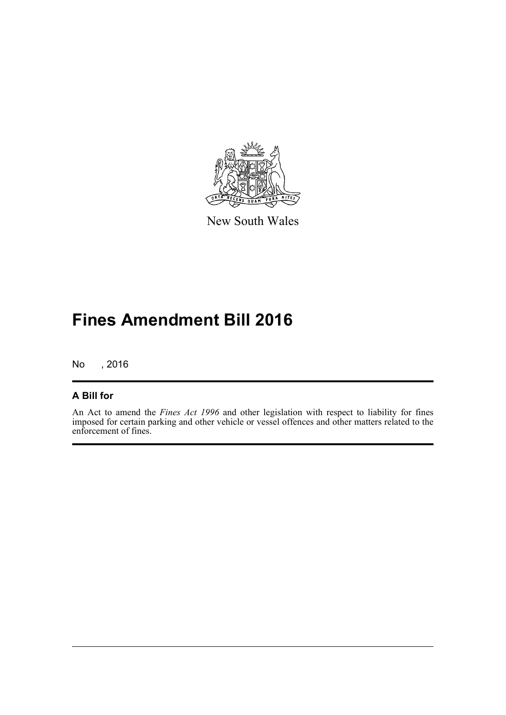

New South Wales

# **Fines Amendment Bill 2016**

No , 2016

# **A Bill for**

An Act to amend the *Fines Act 1996* and other legislation with respect to liability for fines imposed for certain parking and other vehicle or vessel offences and other matters related to the enforcement of fines.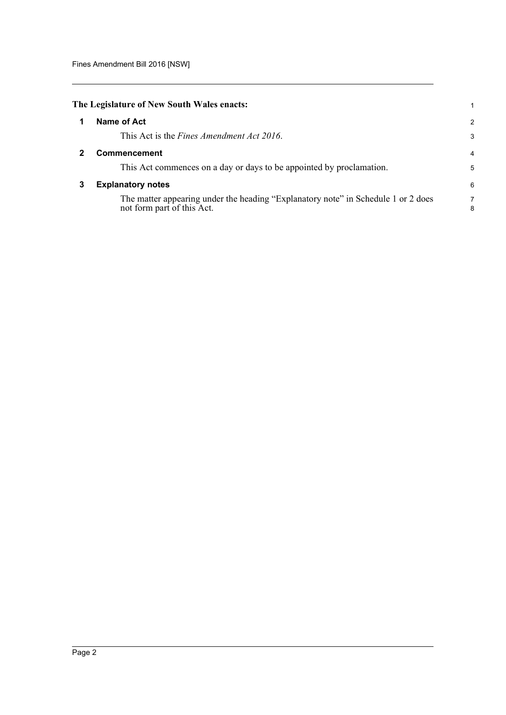<span id="page-4-2"></span><span id="page-4-1"></span><span id="page-4-0"></span>

|   | The Legislature of New South Wales enacts:                                                                      |        |
|---|-----------------------------------------------------------------------------------------------------------------|--------|
|   |                                                                                                                 |        |
|   | Name of Act                                                                                                     | 2      |
|   | This Act is the <i>Fines Amendment Act 2016</i> .                                                               | 3      |
|   | <b>Commencement</b>                                                                                             | 4      |
|   | This Act commences on a day or days to be appointed by proclamation.                                            | 5      |
| 3 | <b>Explanatory notes</b>                                                                                        | 6      |
|   | The matter appearing under the heading "Explanatory note" in Schedule 1 or 2 does<br>not form part of this Act. | 7<br>8 |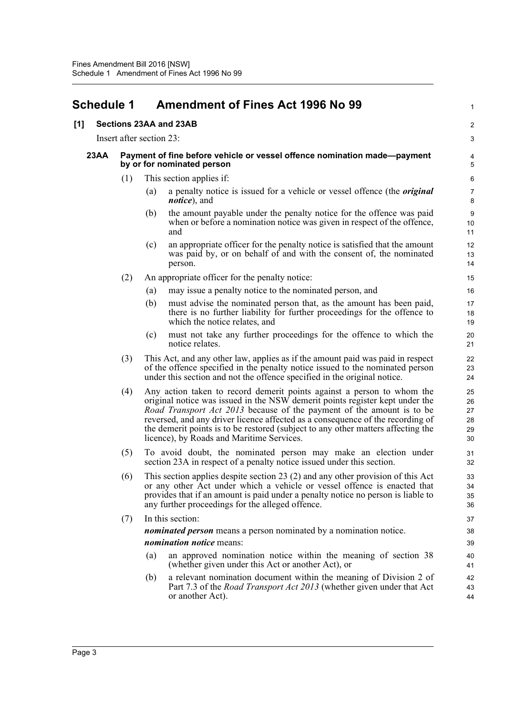# <span id="page-5-0"></span>**Schedule 1 Amendment of Fines Act 1996 No 99**

# **[1] Sections 23AA and 23AB**

Insert after section 23:

#### **23AA Payment of fine before vehicle or vessel offence nomination made—payment by or for nominated person**

- (1) This section applies if:
	- (a) a penalty notice is issued for a vehicle or vessel offence (the *original notice*), and

1

 $\overline{2}$ 3

- (b) the amount payable under the penalty notice for the offence was paid when or before a nomination notice was given in respect of the offence, and
- (c) an appropriate officer for the penalty notice is satisfied that the amount was paid by, or on behalf of and with the consent of, the nominated person.

#### (2) An appropriate officer for the penalty notice:

- (a) may issue a penalty notice to the nominated person, and
- (b) must advise the nominated person that, as the amount has been paid, there is no further liability for further proceedings for the offence to which the notice relates, and
- (c) must not take any further proceedings for the offence to which the notice relates.
- (3) This Act, and any other law, applies as if the amount paid was paid in respect of the offence specified in the penalty notice issued to the nominated person under this section and not the offence specified in the original notice.
- (4) Any action taken to record demerit points against a person to whom the original notice was issued in the NSW demerit points register kept under the *Road Transport Act 2013* because of the payment of the amount is to be reversed, and any driver licence affected as a consequence of the recording of the demerit points is to be restored (subject to any other matters affecting the licence), by Roads and Maritime Services.
- (5) To avoid doubt, the nominated person may make an election under section 23A in respect of a penalty notice issued under this section.
- (6) This section applies despite section 23 (2) and any other provision of this Act or any other Act under which a vehicle or vessel offence is enacted that provides that if an amount is paid under a penalty notice no person is liable to any further proceedings for the alleged offence.

# (7) In this section: *nominated person* means a person nominated by a nomination notice. *nomination notice* means:

- (a) an approved nomination notice within the meaning of section 38 (whether given under this Act or another Act), or
- (b) a relevant nomination document within the meaning of Division 2 of Part 7.3 of the *Road Transport Act 2013* (whether given under that Act or another Act).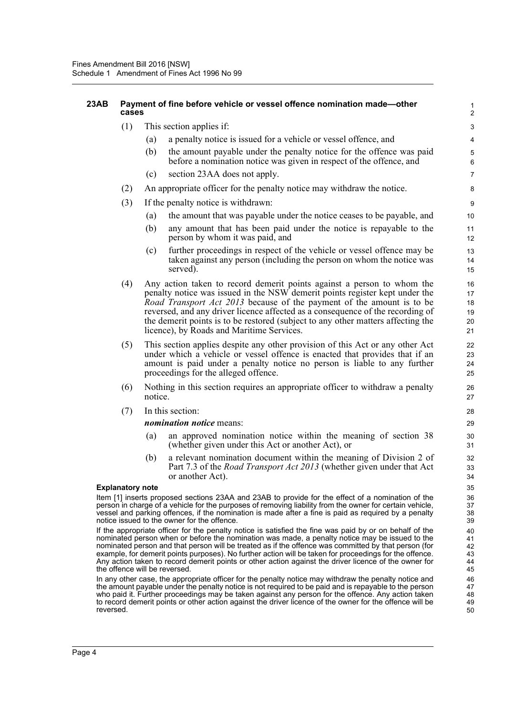#### **23AB Payment of fine before vehicle or vessel offence nomination made—other cases**

- (1) This section applies if:
	- (a) a penalty notice is issued for a vehicle or vessel offence, and
	- (b) the amount payable under the penalty notice for the offence was paid before a nomination notice was given in respect of the offence, and

- (c) section 23AA does not apply.
- (2) An appropriate officer for the penalty notice may withdraw the notice.
- (3) If the penalty notice is withdrawn:
	- (a) the amount that was payable under the notice ceases to be payable, and
	- (b) any amount that has been paid under the notice is repayable to the person by whom it was paid, and
	- (c) further proceedings in respect of the vehicle or vessel offence may be taken against any person (including the person on whom the notice was served).
- (4) Any action taken to record demerit points against a person to whom the penalty notice was issued in the NSW demerit points register kept under the *Road Transport Act 2013* because of the payment of the amount is to be reversed, and any driver licence affected as a consequence of the recording of the demerit points is to be restored (subject to any other matters affecting the licence), by Roads and Maritime Services.
- (5) This section applies despite any other provision of this Act or any other Act under which a vehicle or vessel offence is enacted that provides that if an amount is paid under a penalty notice no person is liable to any further proceedings for the alleged offence.
- (6) Nothing in this section requires an appropriate officer to withdraw a penalty notice.
- (7) In this section:

#### *nomination notice* means:

- (a) an approved nomination notice within the meaning of section 38 (whether given under this Act or another Act), or
- (b) a relevant nomination document within the meaning of Division 2 of Part 7.3 of the *Road Transport Act 2013* (whether given under that Act or another Act).

#### **Explanatory note**

Item [1] inserts proposed sections 23AA and 23AB to provide for the effect of a nomination of the person in charge of a vehicle for the purposes of removing liability from the owner for certain vehicle, vessel and parking offences, if the nomination is made after a fine is paid as required by a penalty notice issued to the owner for the offence.

If the appropriate officer for the penalty notice is satisfied the fine was paid by or on behalf of the nominated person when or before the nomination was made, a penalty notice may be issued to the nominated person and that person will be treated as if the offence was committed by that person (for example, for demerit points purposes). No further action will be taken for proceedings for the offence. Any action taken to record demerit points or other action against the driver licence of the owner for the offence will be reversed.

In any other case, the appropriate officer for the penalty notice may withdraw the penalty notice and the amount payable under the penalty notice is not required to be paid and is repayable to the person who paid it. Further proceedings may be taken against any person for the offence. Any action taken to record demerit points or other action against the driver licence of the owner for the offence will be reversed.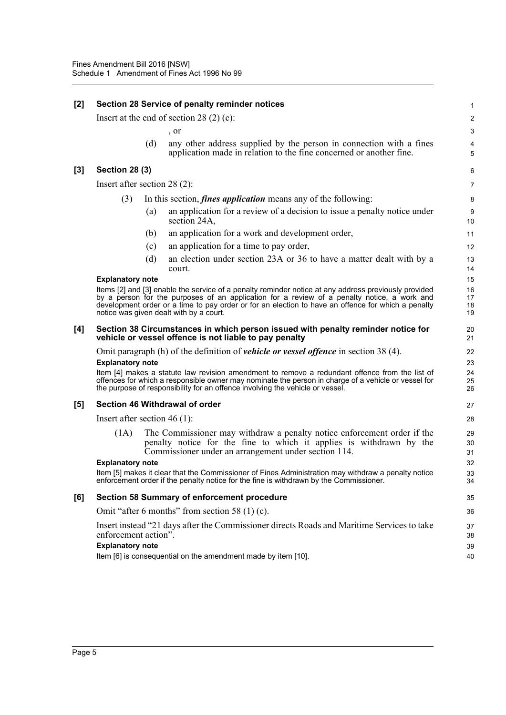| [2] | Section 28 Service of penalty reminder notices |     |                                                                                                                                                                                                                                                                                                                                                      |                      |  |
|-----|------------------------------------------------|-----|------------------------------------------------------------------------------------------------------------------------------------------------------------------------------------------------------------------------------------------------------------------------------------------------------------------------------------------------------|----------------------|--|
|     |                                                |     | Insert at the end of section 28 $(2)$ (c):                                                                                                                                                                                                                                                                                                           | $\overline{c}$       |  |
|     |                                                |     | , or                                                                                                                                                                                                                                                                                                                                                 | 3                    |  |
|     |                                                | (d) | any other address supplied by the person in connection with a fines<br>application made in relation to the fine concerned or another fine.                                                                                                                                                                                                           | 4<br>5               |  |
| [3] | <b>Section 28 (3)</b>                          |     |                                                                                                                                                                                                                                                                                                                                                      | 6                    |  |
|     | Insert after section $28(2)$ :                 |     |                                                                                                                                                                                                                                                                                                                                                      | 7                    |  |
|     | (3)                                            |     | In this section, <i>fines application</i> means any of the following:                                                                                                                                                                                                                                                                                | 8                    |  |
|     |                                                | (a) | an application for a review of a decision to issue a penalty notice under<br>section 24A,                                                                                                                                                                                                                                                            | 9<br>10              |  |
|     |                                                | (b) | an application for a work and development order,                                                                                                                                                                                                                                                                                                     | 11                   |  |
|     |                                                | (c) | an application for a time to pay order,                                                                                                                                                                                                                                                                                                              | 12                   |  |
|     |                                                | (d) | an election under section 23A or 36 to have a matter dealt with by a<br>court.                                                                                                                                                                                                                                                                       | 13<br>14             |  |
|     | <b>Explanatory note</b>                        |     |                                                                                                                                                                                                                                                                                                                                                      | 15                   |  |
|     |                                                |     | Items [2] and [3] enable the service of a penalty reminder notice at any address previously provided<br>by a person for the purposes of an application for a review of a penalty notice, a work and<br>development order or a time to pay order or for an election to have an offence for which a penalty<br>notice was given dealt with by a court. | 16<br>17<br>18<br>19 |  |
| [4] |                                                |     | Section 38 Circumstances in which person issued with penalty reminder notice for<br>vehicle or vessel offence is not liable to pay penalty                                                                                                                                                                                                           | 20<br>21             |  |
|     |                                                |     | Omit paragraph (h) of the definition of <i>vehicle or vessel offence</i> in section 38 (4).                                                                                                                                                                                                                                                          | 22                   |  |
|     | <b>Explanatory note</b>                        |     |                                                                                                                                                                                                                                                                                                                                                      | 23                   |  |
|     |                                                |     | Item [4] makes a statute law revision amendment to remove a redundant offence from the list of<br>offences for which a responsible owner may nominate the person in charge of a vehicle or vessel for<br>the purpose of responsibility for an offence involving the vehicle or vessel.                                                               | 24<br>25<br>26       |  |
| [5] | Section 46 Withdrawal of order                 |     |                                                                                                                                                                                                                                                                                                                                                      |                      |  |
|     | Insert after section 46 $(1)$ :                |     |                                                                                                                                                                                                                                                                                                                                                      | 28                   |  |
|     | (1A)                                           |     | The Commissioner may withdraw a penalty notice enforcement order if the<br>penalty notice for the fine to which it applies is withdrawn by the<br>Commissioner under an arrangement under section 114.                                                                                                                                               | 29<br>30<br>31       |  |
|     | <b>Explanatory note</b>                        |     | Item [5] makes it clear that the Commissioner of Fines Administration may withdraw a penalty notice<br>enforcement order if the penalty notice for the fine is withdrawn by the Commissioner.                                                                                                                                                        | 32<br>33<br>34       |  |
| [6] |                                                |     | Section 58 Summary of enforcement procedure                                                                                                                                                                                                                                                                                                          | 35                   |  |
|     |                                                |     | Omit "after 6 months" from section 58 $(1)$ (c).                                                                                                                                                                                                                                                                                                     | 36                   |  |
|     | enforcement action".                           |     | Insert instead "21 days after the Commissioner directs Roads and Maritime Services to take                                                                                                                                                                                                                                                           | 37<br>38             |  |
|     | <b>Explanatory note</b>                        |     | Item [6] is consequential on the amendment made by item [10].                                                                                                                                                                                                                                                                                        | 39<br>40             |  |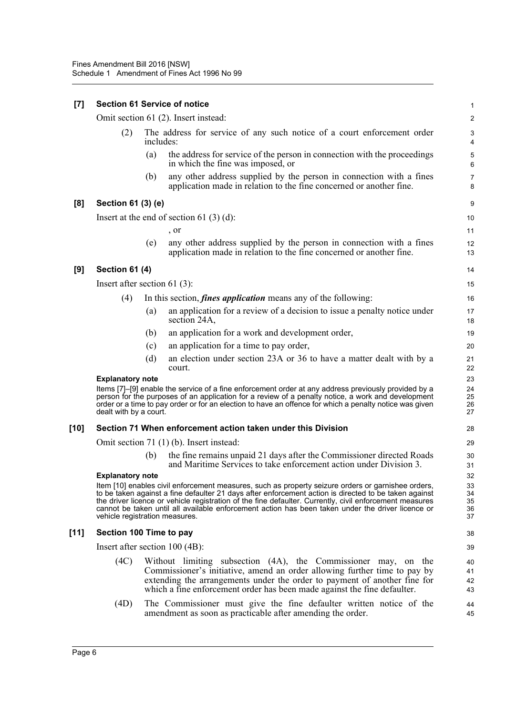| $[7]$ | <b>Section 61 Service of notice</b> |           |                                                                                                                                                                                                                                                                                                                                                                                                                             |                            |  |  |
|-------|-------------------------------------|-----------|-----------------------------------------------------------------------------------------------------------------------------------------------------------------------------------------------------------------------------------------------------------------------------------------------------------------------------------------------------------------------------------------------------------------------------|----------------------------|--|--|
|       |                                     |           | Omit section 61 (2). Insert instead:                                                                                                                                                                                                                                                                                                                                                                                        | $\overline{\mathbf{c}}$    |  |  |
|       | (2)                                 | includes: | The address for service of any such notice of a court enforcement order                                                                                                                                                                                                                                                                                                                                                     | 3<br>4                     |  |  |
|       |                                     | (a)       | the address for service of the person in connection with the proceedings<br>in which the fine was imposed, or                                                                                                                                                                                                                                                                                                               | 5<br>6                     |  |  |
|       |                                     | (b)       | any other address supplied by the person in connection with a fines<br>application made in relation to the fine concerned or another fine.                                                                                                                                                                                                                                                                                  | 7<br>8                     |  |  |
| [8]   | Section 61 (3) (e)                  |           |                                                                                                                                                                                                                                                                                                                                                                                                                             | 9                          |  |  |
|       |                                     |           | Insert at the end of section 61 $(3)(d)$ :                                                                                                                                                                                                                                                                                                                                                                                  | 10                         |  |  |
|       |                                     |           | , or                                                                                                                                                                                                                                                                                                                                                                                                                        | 11                         |  |  |
|       |                                     | (e)       | any other address supplied by the person in connection with a fines<br>application made in relation to the fine concerned or another fine.                                                                                                                                                                                                                                                                                  | 12<br>13                   |  |  |
| [9]   | <b>Section 61 (4)</b>               |           |                                                                                                                                                                                                                                                                                                                                                                                                                             | 14                         |  |  |
|       | Insert after section 61 $(3)$ :     |           |                                                                                                                                                                                                                                                                                                                                                                                                                             | 15                         |  |  |
|       | (4)                                 |           | In this section, <i>fines application</i> means any of the following:                                                                                                                                                                                                                                                                                                                                                       | 16                         |  |  |
|       |                                     | (a)       | an application for a review of a decision to issue a penalty notice under<br>section 24A,                                                                                                                                                                                                                                                                                                                                   | 17<br>18                   |  |  |
|       |                                     | (b)       | an application for a work and development order,                                                                                                                                                                                                                                                                                                                                                                            | 19                         |  |  |
|       |                                     | (c)       | an application for a time to pay order,                                                                                                                                                                                                                                                                                                                                                                                     | 20                         |  |  |
|       |                                     | (d)       | an election under section 23A or 36 to have a matter dealt with by a<br>court.                                                                                                                                                                                                                                                                                                                                              | 21<br>22                   |  |  |
|       | <b>Explanatory note</b>             |           |                                                                                                                                                                                                                                                                                                                                                                                                                             | 23                         |  |  |
|       | dealt with by a court.              |           | Items [7]-[9] enable the service of a fine enforcement order at any address previously provided by a<br>person for the purposes of an application for a review of a penalty notice, a work and development<br>order or a time to pay order or for an election to have an offence for which a penalty notice was given                                                                                                       | 24<br>25<br>26<br>27       |  |  |
| [10]  |                                     |           | Section 71 When enforcement action taken under this Division                                                                                                                                                                                                                                                                                                                                                                | 28                         |  |  |
|       |                                     |           | Omit section 71 (1) (b). Insert instead:                                                                                                                                                                                                                                                                                                                                                                                    | 29                         |  |  |
|       |                                     | (b)       | the fine remains unpaid 21 days after the Commissioner directed Roads<br>and Maritime Services to take enforcement action under Division 3.                                                                                                                                                                                                                                                                                 | 30<br>31                   |  |  |
|       | <b>Explanatory note</b>             |           |                                                                                                                                                                                                                                                                                                                                                                                                                             | 32                         |  |  |
|       | vehicle registration measures.      |           | Item [10] enables civil enforcement measures, such as property seizure orders or garnishee orders,<br>to be taken against a fine defaulter 21 days after enforcement action is directed to be taken against<br>the driver licence or vehicle registration of the fine defaulter. Currently, civil enforcement measures<br>cannot be taken until all available enforcement action has been taken under the driver licence or | 33<br>34<br>35<br>36<br>37 |  |  |
| [11]  | Section 100 Time to pay             |           |                                                                                                                                                                                                                                                                                                                                                                                                                             | 38                         |  |  |
|       | Insert after section $100 (4B)$ :   |           |                                                                                                                                                                                                                                                                                                                                                                                                                             | 39                         |  |  |
|       | (4C)                                |           | Without limiting subsection (4A), the Commissioner may, on the<br>Commissioner's initiative, amend an order allowing further time to pay by<br>extending the arrangements under the order to payment of another fine for<br>which a fine enforcement order has been made against the fine defaulter.                                                                                                                        | 40<br>41<br>42<br>43       |  |  |
|       | (4D)                                |           | The Commissioner must give the fine defaulter written notice of the<br>amendment as soon as practicable after amending the order.                                                                                                                                                                                                                                                                                           | 44<br>45                   |  |  |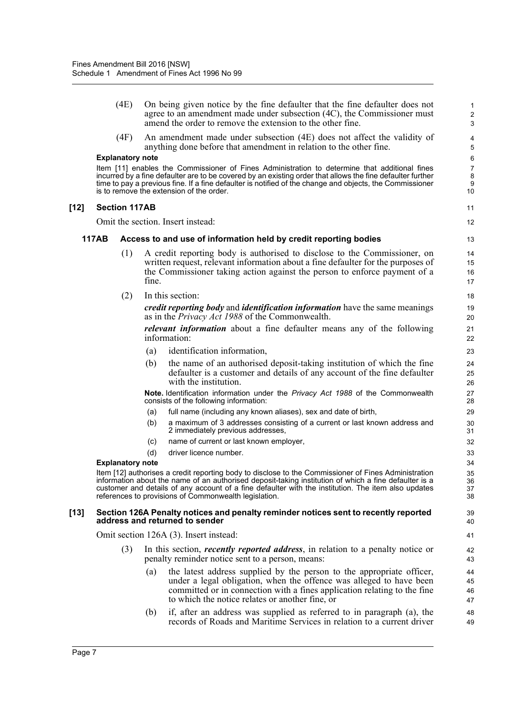|        |              | (4E)                    |       | On being given notice by the fine defaulter that the fine defaulter does not<br>agree to an amendment made under subsection (4C), the Commissioner must<br>amend the order to remove the extension to the other fine.                                                                                                                                                         | $\mathbf{1}$<br>$\overline{c}$<br>3 |
|--------|--------------|-------------------------|-------|-------------------------------------------------------------------------------------------------------------------------------------------------------------------------------------------------------------------------------------------------------------------------------------------------------------------------------------------------------------------------------|-------------------------------------|
|        |              | (4F)                    |       | An amendment made under subsection (4E) does not affect the validity of<br>anything done before that amendment in relation to the other fine.                                                                                                                                                                                                                                 | 4<br>5                              |
|        |              | <b>Explanatory note</b> |       |                                                                                                                                                                                                                                                                                                                                                                               | 6                                   |
|        |              |                         |       | Item [11] enables the Commissioner of Fines Administration to determine that additional fines<br>incurred by a fine defaulter are to be covered by an existing order that allows the fine defaulter further<br>time to pay a previous fine. If a fine defaulter is notified of the change and objects, the Commissioner<br>is to remove the extension of the order.           | 7<br>8<br>9<br>10                   |
| $[12]$ |              | <b>Section 117AB</b>    |       |                                                                                                                                                                                                                                                                                                                                                                               | 11                                  |
|        |              |                         |       | Omit the section. Insert instead:                                                                                                                                                                                                                                                                                                                                             | 12                                  |
|        | <b>117AB</b> |                         |       | Access to and use of information held by credit reporting bodies                                                                                                                                                                                                                                                                                                              | 13                                  |
|        |              | (1)                     | fine. | A credit reporting body is authorised to disclose to the Commissioner, on<br>written request, relevant information about a fine defaulter for the purposes of<br>the Commissioner taking action against the person to enforce payment of a                                                                                                                                    | 14<br>15<br>16<br>17                |
|        |              | (2)                     |       | In this section:                                                                                                                                                                                                                                                                                                                                                              | 18                                  |
|        |              |                         |       | <i>credit reporting body</i> and <i>identification information</i> have the same meanings<br>as in the <i>Privacy Act 1988</i> of the Commonwealth.                                                                                                                                                                                                                           | 19<br>20                            |
|        |              |                         |       | <i>relevant information</i> about a fine defaulter means any of the following<br>information:                                                                                                                                                                                                                                                                                 | 21<br>22                            |
|        |              |                         | (a)   | identification information,                                                                                                                                                                                                                                                                                                                                                   | 23                                  |
|        |              |                         | (b)   | the name of an authorised deposit-taking institution of which the fine<br>defaulter is a customer and details of any account of the fine defaulter<br>with the institution.                                                                                                                                                                                                   | 24<br>25<br>26                      |
|        |              |                         |       | Note. Identification information under the Privacy Act 1988 of the Commonwealth<br>consists of the following information:                                                                                                                                                                                                                                                     | 27<br>28                            |
|        |              |                         | (a)   | full name (including any known aliases), sex and date of birth,                                                                                                                                                                                                                                                                                                               | 29                                  |
|        |              |                         | (b)   | a maximum of 3 addresses consisting of a current or last known address and<br>2 immediately previous addresses,                                                                                                                                                                                                                                                               | 30<br>31                            |
|        |              |                         | (c)   | name of current or last known employer,                                                                                                                                                                                                                                                                                                                                       | 32                                  |
|        |              |                         | (d)   | driver licence number.                                                                                                                                                                                                                                                                                                                                                        | 33                                  |
|        |              | <b>Explanatory note</b> |       |                                                                                                                                                                                                                                                                                                                                                                               | 34                                  |
|        |              |                         |       | Item [12] authorises a credit reporting body to disclose to the Commissioner of Fines Administration<br>information about the name of an authorised deposit-taking institution of which a fine defaulter is a<br>customer and details of any account of a fine defaulter with the institution. The item also updates<br>references to provisions of Commonwealth legislation. | 35<br>36<br>37<br>38                |
| $[13]$ |              |                         |       | Section 126A Penalty notices and penalty reminder notices sent to recently reported<br>address and returned to sender                                                                                                                                                                                                                                                         | 39<br>40                            |
|        |              |                         |       | Omit section 126A (3). Insert instead:                                                                                                                                                                                                                                                                                                                                        | 41                                  |
|        |              | (3)                     |       | In this section, <i>recently reported address</i> , in relation to a penalty notice or<br>penalty reminder notice sent to a person, means:                                                                                                                                                                                                                                    | 42<br>43                            |
|        |              |                         | (a)   | the latest address supplied by the person to the appropriate officer,<br>under a legal obligation, when the offence was alleged to have been<br>committed or in connection with a fines application relating to the fine<br>to which the notice relates or another fine, or                                                                                                   | 44<br>45<br>46<br>47                |
|        |              |                         | (b)   | if, after an address was supplied as referred to in paragraph (a), the<br>records of Roads and Maritime Services in relation to a current driver                                                                                                                                                                                                                              | 48<br>49                            |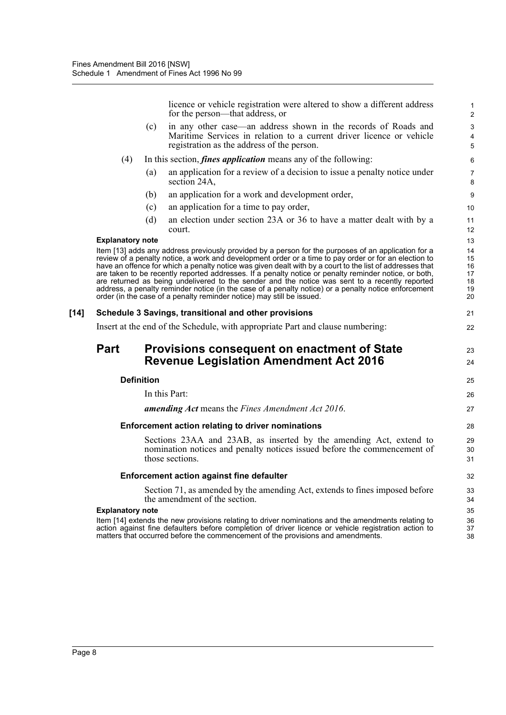licence or vehicle registration were altered to show a different address for the person—that address, or

23 24

25 26 27

- (c) in any other case—an address shown in the records of Roads and Maritime Services in relation to a current driver licence or vehicle registration as the address of the person.
- (4) In this section, *fines application* means any of the following:
	- (a) an application for a review of a decision to issue a penalty notice under section 24A,
	- (b) an application for a work and development order,
	- (c) an application for a time to pay order,
	- (d) an election under section 23A or 36 to have a matter dealt with by a court.

#### **Explanatory note**

Item [13] adds any address previously provided by a person for the purposes of an application for a review of a penalty notice, a work and development order or a time to pay order or for an election to have an offence for which a penalty notice was given dealt with by a court to the list of addresses that are taken to be recently reported addresses. If a penalty notice or penalty reminder notice, or both, are returned as being undelivered to the sender and the notice was sent to a recently reported address, a penalty reminder notice (in the case of a penalty notice) or a penalty notice enforcement order (in the case of a penalty reminder notice) may still be issued.

#### **[14] Schedule 3 Savings, transitional and other provisions**

Insert at the end of the Schedule, with appropriate Part and clause numbering:

# **Part Provisions consequent on enactment of State Revenue Legislation Amendment Act 2016**

#### **Definition**

In this Part:

#### *amending Act* means the *Fines Amendment Act 2016*.

#### **Enforcement action relating to driver nominations**

Sections 23AA and 23AB, as inserted by the amending Act, extend to nomination notices and penalty notices issued before the commencement of those sections.

#### **Enforcement action against fine defaulter**

Section 71, as amended by the amending Act, extends to fines imposed before the amendment of the section.

#### **Explanatory note**

Item [14] extends the new provisions relating to driver nominations and the amendments relating to action against fine defaulters before completion of driver licence or vehicle registration action to matters that occurred before the commencement of the provisions and amendments.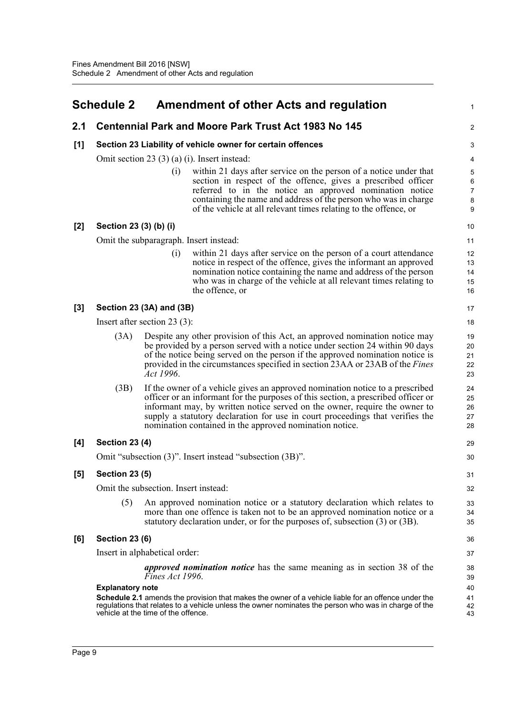<span id="page-11-0"></span>

|     | <b>Schedule 2</b>                                   | <b>Amendment of other Acts and regulation</b>                                                                                                                                                                                                                                                                                                                                                | 1                                  |  |  |  |  |  |
|-----|-----------------------------------------------------|----------------------------------------------------------------------------------------------------------------------------------------------------------------------------------------------------------------------------------------------------------------------------------------------------------------------------------------------------------------------------------------------|------------------------------------|--|--|--|--|--|
| 2.1 |                                                     | <b>Centennial Park and Moore Park Trust Act 1983 No 145</b>                                                                                                                                                                                                                                                                                                                                  | $\overline{c}$                     |  |  |  |  |  |
| [1] |                                                     | Section 23 Liability of vehicle owner for certain offences                                                                                                                                                                                                                                                                                                                                   | 3                                  |  |  |  |  |  |
|     | Omit section 23 $(3)$ $(a)$ $(i)$ . Insert instead: |                                                                                                                                                                                                                                                                                                                                                                                              |                                    |  |  |  |  |  |
|     |                                                     | (i)<br>within 21 days after service on the person of a notice under that<br>section in respect of the offence, gives a prescribed officer<br>referred to in the notice an approved nomination notice<br>containing the name and address of the person who was in charge<br>of the vehicle at all relevant times relating to the offence, or                                                  | 5<br>6<br>$\overline{7}$<br>8<br>9 |  |  |  |  |  |
| [2] | Section 23 (3) (b) (i)                              |                                                                                                                                                                                                                                                                                                                                                                                              | 10                                 |  |  |  |  |  |
|     |                                                     | Omit the subparagraph. Insert instead:                                                                                                                                                                                                                                                                                                                                                       | 11                                 |  |  |  |  |  |
|     |                                                     | within 21 days after service on the person of a court attendance<br>(i)<br>notice in respect of the offence, gives the informant an approved<br>nomination notice containing the name and address of the person<br>who was in charge of the vehicle at all relevant times relating to<br>the offence, or                                                                                     | 12<br>13<br>14<br>15<br>16         |  |  |  |  |  |
| [3] |                                                     | Section 23 (3A) and (3B)                                                                                                                                                                                                                                                                                                                                                                     | 17                                 |  |  |  |  |  |
|     |                                                     | Insert after section $23(3)$ :                                                                                                                                                                                                                                                                                                                                                               | 18                                 |  |  |  |  |  |
|     | (3A)                                                | Despite any other provision of this Act, an approved nomination notice may<br>be provided by a person served with a notice under section 24 within 90 days<br>of the notice being served on the person if the approved nomination notice is<br>provided in the circumstances specified in section 23AA or 23AB of the <i>Fines</i><br>Act 1996.                                              |                                    |  |  |  |  |  |
|     | (3B)                                                | If the owner of a vehicle gives an approved nomination notice to a prescribed<br>officer or an informant for the purposes of this section, a prescribed officer or<br>informant may, by written notice served on the owner, require the owner to<br>supply a statutory declaration for use in court proceedings that verifies the<br>nomination contained in the approved nomination notice. | 24<br>25<br>26<br>27<br>28         |  |  |  |  |  |
| [4] | <b>Section 23 (4)</b>                               |                                                                                                                                                                                                                                                                                                                                                                                              | 29                                 |  |  |  |  |  |
|     |                                                     | Omit "subsection (3)". Insert instead "subsection (3B)".                                                                                                                                                                                                                                                                                                                                     | 30                                 |  |  |  |  |  |
| [5] | <b>Section 23 (5)</b>                               |                                                                                                                                                                                                                                                                                                                                                                                              | 31                                 |  |  |  |  |  |
|     |                                                     | Omit the subsection. Insert instead:                                                                                                                                                                                                                                                                                                                                                         | 32                                 |  |  |  |  |  |
|     | (5)                                                 | An approved nomination notice or a statutory declaration which relates to<br>more than one offence is taken not to be an approved nomination notice or a<br>statutory declaration under, or for the purposes of, subsection (3) or (3B).                                                                                                                                                     | 33<br>34<br>35                     |  |  |  |  |  |
| [6] | <b>Section 23 (6)</b>                               |                                                                                                                                                                                                                                                                                                                                                                                              | 36                                 |  |  |  |  |  |
|     |                                                     | Insert in alphabetical order:                                                                                                                                                                                                                                                                                                                                                                | 37                                 |  |  |  |  |  |
|     |                                                     | <i>approved nomination notice</i> has the same meaning as in section 38 of the<br>Fines Act 1996.                                                                                                                                                                                                                                                                                            | 38<br>39                           |  |  |  |  |  |
|     | <b>Explanatory note</b>                             |                                                                                                                                                                                                                                                                                                                                                                                              | 40                                 |  |  |  |  |  |
|     |                                                     | Schedule 2.1 amends the provision that makes the owner of a vehicle liable for an offence under the<br>regulations that relates to a vehicle unless the owner nominates the person who was in charge of the<br>vehicle at the time of the offence.                                                                                                                                           | 41<br>42<br>43                     |  |  |  |  |  |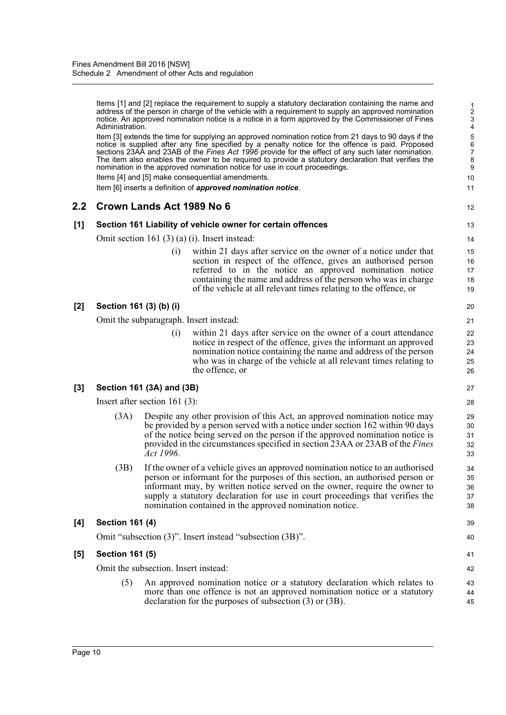Items [1] and [2] replace the requirement to supply a statutory declaration containing the name and address of the person in charge of the vehicle with a requirement to supply an approved nomination notice. An approved nomination notice is a notice in a form approved by the Commissioner of Fines Administration.

Item [3] extends the time for supplying an approved nomination notice from 21 days to 90 days if the notice is supplied after any fine specified by a penalty notice for the offence is paid. Proposed sections 23AA and 23AB of the *Fines Act 1996* provide for the effect of any such later nomination. The item also enables the owner to be required to provide a statutory declaration that verifies the nomination in the approved nomination notice for use in court proceedings.

Items [4] and [5] make consequential amendments.

Item [6] inserts a definition of *approved nomination notice*.

# **2.2 Crown Lands Act 1989 No 6**

# **[1] Section 161 Liability of vehicle owner for certain offences**

Omit section 161 (3) (a) (i). Insert instead:

(i) within 21 days after service on the owner of a notice under that section in respect of the offence, gives an authorised person referred to in the notice an approved nomination notice containing the name and address of the person who was in charge of the vehicle at all relevant times relating to the offence, or

# **[2] Section 161 (3) (b) (i)**

Omit the subparagraph. Insert instead:

(i) within 21 days after service on the owner of a court attendance notice in respect of the offence, gives the informant an approved nomination notice containing the name and address of the person who was in charge of the vehicle at all relevant times relating to the offence, or

# **[3] Section 161 (3A) and (3B)**

Insert after section 161 (3):

- (3A) Despite any other provision of this Act, an approved nomination notice may be provided by a person served with a notice under section 162 within 90 days of the notice being served on the person if the approved nomination notice is provided in the circumstances specified in section 23AA or 23AB of the *Fines Act 1996*.
- (3B) If the owner of a vehicle gives an approved nomination notice to an authorised person or informant for the purposes of this section, an authorised person or informant may, by written notice served on the owner, require the owner to supply a statutory declaration for use in court proceedings that verifies the nomination contained in the approved nomination notice.

#### **[4] Section 161 (4)**

Omit "subsection (3)". Insert instead "subsection (3B)".

# **[5] Section 161 (5)**

Omit the subsection. Insert instead:

(5) An approved nomination notice or a statutory declaration which relates to more than one offence is not an approved nomination notice or a statutory declaration for the purposes of subsection (3) or (3B).

27

- 39 40
- 41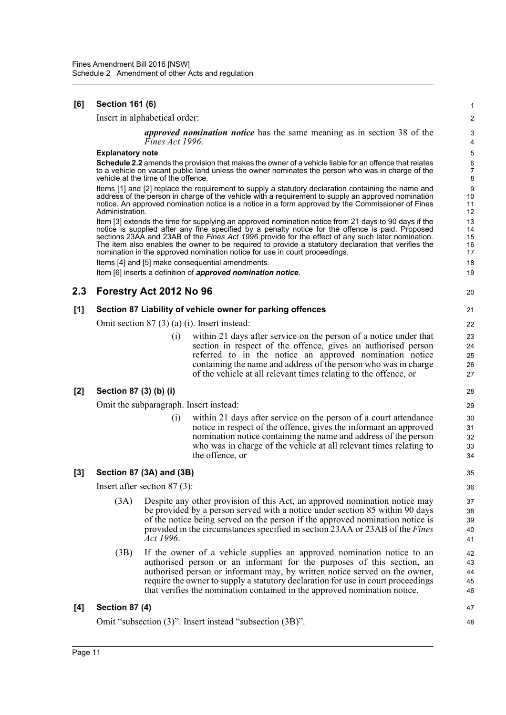# **[6] Section 161 (6)**

Insert in alphabetical order:

*approved nomination notice* has the same meaning as in section 38 of the *Fines Act 1996*.

20

47 48

#### **Explanatory note**

**Schedule 2.2** amends the provision that makes the owner of a vehicle liable for an offence that relates to a vehicle on vacant public land unless the owner nominates the person who was in charge of the vehicle at the time of the offence.

Items [1] and [2] replace the requirement to supply a statutory declaration containing the name and address of the person in charge of the vehicle with a requirement to supply an approved nomination notice. An approved nomination notice is a notice in a form approved by the Commissioner of Fines Administration.

Item [3] extends the time for supplying an approved nomination notice from 21 days to 90 days if the notice is supplied after any fine specified by a penalty notice for the offence is paid. Proposed sections 23AA and 23AB of the *Fines Act 1996* provide for the effect of any such later nomination. The item also enables the owner to be required to provide a statutory declaration that verifies the nomination in the approved nomination notice for use in court proceedings.

Items [4] and [5] make consequential amendments.

Item [6] inserts a definition of *approved nomination notice*.

# **2.3 Forestry Act 2012 No 96**

#### **[1] Section 87 Liability of vehicle owner for parking offences**

Omit section 87 (3) (a) (i). Insert instead:

(i) within 21 days after service on the person of a notice under that section in respect of the offence, gives an authorised person referred to in the notice an approved nomination notice containing the name and address of the person who was in charge of the vehicle at all relevant times relating to the offence, or

# **[2] Section 87 (3) (b) (i)**

Omit the subparagraph. Insert instead:

(i) within 21 days after service on the person of a court attendance notice in respect of the offence, gives the informant an approved nomination notice containing the name and address of the person who was in charge of the vehicle at all relevant times relating to the offence, or

#### **[3] Section 87 (3A) and (3B)**

Insert after section 87 (3):

- (3A) Despite any other provision of this Act, an approved nomination notice may be provided by a person served with a notice under section 85 within 90 days of the notice being served on the person if the approved nomination notice is provided in the circumstances specified in section 23AA or 23AB of the *Fines Act 1996*.
- (3B) If the owner of a vehicle supplies an approved nomination notice to an authorised person or an informant for the purposes of this section, an authorised person or informant may, by written notice served on the owner, require the owner to supply a statutory declaration for use in court proceedings that verifies the nomination contained in the approved nomination notice.

# **[4] Section 87 (4)**

Omit "subsection (3)". Insert instead "subsection (3B)".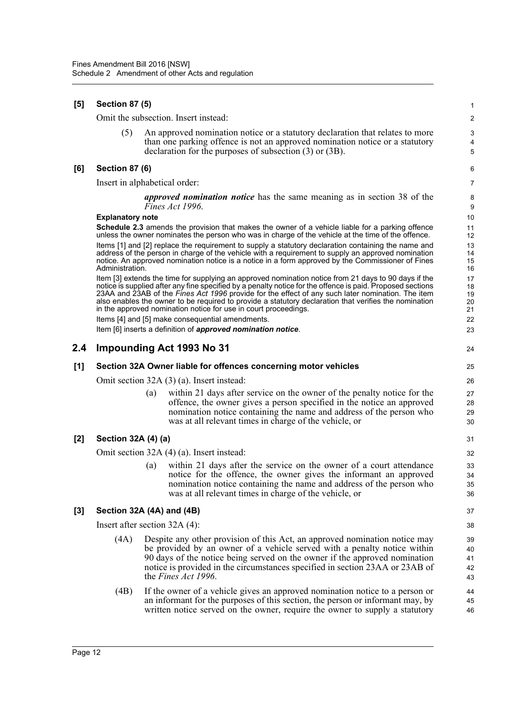| $[5]$ | <b>Section 87 (5)</b>                     |     |                                                                                                                                                                                                                                                                                                                                                                                                                                                                                                            |                            |  |  |
|-------|-------------------------------------------|-----|------------------------------------------------------------------------------------------------------------------------------------------------------------------------------------------------------------------------------------------------------------------------------------------------------------------------------------------------------------------------------------------------------------------------------------------------------------------------------------------------------------|----------------------------|--|--|
|       |                                           |     | Omit the subsection. Insert instead:                                                                                                                                                                                                                                                                                                                                                                                                                                                                       | 2                          |  |  |
|       | (5)                                       |     | An approved nomination notice or a statutory declaration that relates to more<br>than one parking offence is not an approved nomination notice or a statutory<br>declaration for the purposes of subsection $(3)$ or $(3B)$ .                                                                                                                                                                                                                                                                              | 3<br>4<br>5                |  |  |
| [6]   | <b>Section 87 (6)</b>                     |     |                                                                                                                                                                                                                                                                                                                                                                                                                                                                                                            | 6                          |  |  |
|       | Insert in alphabetical order:             |     |                                                                                                                                                                                                                                                                                                                                                                                                                                                                                                            | 7                          |  |  |
|       |                                           |     | <i>approved nomination notice</i> has the same meaning as in section 38 of the<br>Fines Act 1996.                                                                                                                                                                                                                                                                                                                                                                                                          | 8<br>9                     |  |  |
|       | <b>Explanatory note</b>                   |     |                                                                                                                                                                                                                                                                                                                                                                                                                                                                                                            | 10                         |  |  |
|       |                                           |     | <b>Schedule 2.3</b> amends the provision that makes the owner of a vehicle liable for a parking offence<br>unless the owner nominates the person who was in charge of the vehicle at the time of the offence.                                                                                                                                                                                                                                                                                              | 11<br>12                   |  |  |
|       | Administration.                           |     | Items [1] and [2] replace the requirement to supply a statutory declaration containing the name and<br>address of the person in charge of the vehicle with a requirement to supply an approved nomination<br>notice. An approved nomination notice is a notice in a form approved by the Commissioner of Fines                                                                                                                                                                                             | 13<br>14<br>15<br>16       |  |  |
|       |                                           |     | Item [3] extends the time for supplying an approved nomination notice from 21 days to 90 days if the<br>notice is supplied after any fine specified by a penalty notice for the offence is paid. Proposed sections<br>23AA and 23AB of the <i>Fines Act 1996</i> provide for the effect of any such later nomination. The item<br>also enables the owner to be required to provide a statutory declaration that verifies the nomination<br>in the approved nomination notice for use in court proceedings. | 17<br>18<br>19<br>20<br>21 |  |  |
|       |                                           |     | Items [4] and [5] make consequential amendments.<br>Item [6] inserts a definition of approved nomination notice.                                                                                                                                                                                                                                                                                                                                                                                           | 22<br>23                   |  |  |
|       |                                           |     |                                                                                                                                                                                                                                                                                                                                                                                                                                                                                                            |                            |  |  |
| 2.4   |                                           |     | Impounding Act 1993 No 31                                                                                                                                                                                                                                                                                                                                                                                                                                                                                  | 24                         |  |  |
| [1]   |                                           |     | Section 32A Owner liable for offences concerning motor vehicles                                                                                                                                                                                                                                                                                                                                                                                                                                            | 25                         |  |  |
|       |                                           |     | Omit section 32A (3) (a). Insert instead:                                                                                                                                                                                                                                                                                                                                                                                                                                                                  | 26                         |  |  |
|       |                                           | (a) | within 21 days after service on the owner of the penalty notice for the<br>offence, the owner gives a person specified in the notice an approved<br>nomination notice containing the name and address of the person who<br>was at all relevant times in charge of the vehicle, or                                                                                                                                                                                                                          | 27<br>28<br>29<br>30       |  |  |
| $[2]$ | Section 32A (4) (a)                       |     |                                                                                                                                                                                                                                                                                                                                                                                                                                                                                                            | 31                         |  |  |
|       | Omit section 32A (4) (a). Insert instead: |     |                                                                                                                                                                                                                                                                                                                                                                                                                                                                                                            |                            |  |  |
|       |                                           | (a) | within 21 days after the service on the owner of a court attendance<br>notice for the offence, the owner gives the informant an approved<br>nomination notice containing the name and address of the person who<br>was at all relevant times in charge of the vehicle, or                                                                                                                                                                                                                                  | 33<br>34<br>35<br>36       |  |  |
| [3]   | Section 32A (4A) and (4B)                 |     |                                                                                                                                                                                                                                                                                                                                                                                                                                                                                                            | 37                         |  |  |
|       | Insert after section $32A(4)$ :           |     |                                                                                                                                                                                                                                                                                                                                                                                                                                                                                                            | 38                         |  |  |
|       | (4A)                                      |     | Despite any other provision of this Act, an approved nomination notice may<br>be provided by an owner of a vehicle served with a penalty notice within<br>90 days of the notice being served on the owner if the approved nomination<br>notice is provided in the circumstances specified in section 23AA or 23AB of<br>the Fines Act 1996.                                                                                                                                                                | 39<br>40<br>41<br>42<br>43 |  |  |
|       | (4B)                                      |     | If the owner of a vehicle gives an approved nomination notice to a person or<br>an informant for the purposes of this section, the person or informant may, by<br>written notice served on the owner, require the owner to supply a statutory                                                                                                                                                                                                                                                              | 44<br>45<br>46             |  |  |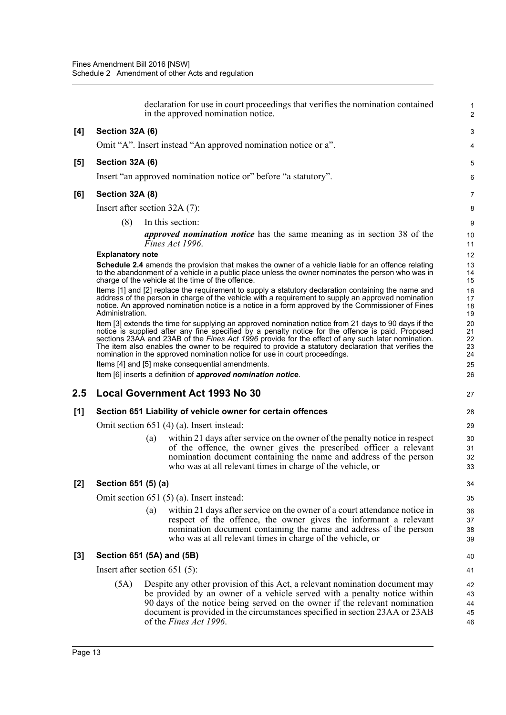|       |                                                             | declaration for use in court proceedings that verifies the nomination contained<br>in the approved nomination notice.                                                                                                                                                                                                                                                                                                                                                                               | $\mathbf{1}$<br>$\overline{2}$ |  |  |  |
|-------|-------------------------------------------------------------|-----------------------------------------------------------------------------------------------------------------------------------------------------------------------------------------------------------------------------------------------------------------------------------------------------------------------------------------------------------------------------------------------------------------------------------------------------------------------------------------------------|--------------------------------|--|--|--|
| [4]   | Section 32A (6)                                             |                                                                                                                                                                                                                                                                                                                                                                                                                                                                                                     | 3                              |  |  |  |
|       |                                                             | Omit "A". Insert instead "An approved nomination notice or a".                                                                                                                                                                                                                                                                                                                                                                                                                                      | 4                              |  |  |  |
| [5]   | Section 32A (6)                                             |                                                                                                                                                                                                                                                                                                                                                                                                                                                                                                     | 5                              |  |  |  |
|       |                                                             | Insert "an approved nomination notice or" before "a statutory".                                                                                                                                                                                                                                                                                                                                                                                                                                     | 6                              |  |  |  |
| [6]   | Section 32A (8)                                             |                                                                                                                                                                                                                                                                                                                                                                                                                                                                                                     | 7                              |  |  |  |
|       |                                                             | Insert after section $32A(7)$ :                                                                                                                                                                                                                                                                                                                                                                                                                                                                     | 8                              |  |  |  |
|       | (8)                                                         | In this section:                                                                                                                                                                                                                                                                                                                                                                                                                                                                                    | 9                              |  |  |  |
|       |                                                             | <i>approved nomination notice</i> has the same meaning as in section 38 of the<br>Fines Act 1996.                                                                                                                                                                                                                                                                                                                                                                                                   | 10<br>11                       |  |  |  |
|       | <b>Explanatory note</b>                                     |                                                                                                                                                                                                                                                                                                                                                                                                                                                                                                     | 12                             |  |  |  |
|       |                                                             | <b>Schedule 2.4</b> amends the provision that makes the owner of a vehicle liable for an offence relating<br>to the abandonment of a vehicle in a public place unless the owner nominates the person who was in<br>charge of the vehicle at the time of the offence.                                                                                                                                                                                                                                | 13<br>14<br>15                 |  |  |  |
|       | Administration.                                             | Items [1] and [2] replace the requirement to supply a statutory declaration containing the name and<br>address of the person in charge of the vehicle with a requirement to supply an approved nomination<br>notice. An approved nomination notice is a notice in a form approved by the Commissioner of Fines                                                                                                                                                                                      | 16<br>17<br>18<br>19           |  |  |  |
|       |                                                             | Item [3] extends the time for supplying an approved nomination notice from 21 days to 90 days if the<br>notice is supplied after any fine specified by a penalty notice for the offence is paid. Proposed<br>sections 23AA and 23AB of the Fines Act 1996 provide for the effect of any such later nomination.<br>The item also enables the owner to be required to provide a statutory declaration that verifies the<br>nomination in the approved nomination notice for use in court proceedings. | 20<br>21<br>22<br>23<br>24     |  |  |  |
|       |                                                             | Items [4] and [5] make consequential amendments.                                                                                                                                                                                                                                                                                                                                                                                                                                                    | 25<br>26                       |  |  |  |
|       |                                                             | Item [6] inserts a definition of approved nomination notice.                                                                                                                                                                                                                                                                                                                                                                                                                                        |                                |  |  |  |
| 2.5   |                                                             | <b>Local Government Act 1993 No 30</b>                                                                                                                                                                                                                                                                                                                                                                                                                                                              | 27                             |  |  |  |
| [1]   | Section 651 Liability of vehicle owner for certain offences |                                                                                                                                                                                                                                                                                                                                                                                                                                                                                                     |                                |  |  |  |
|       |                                                             | Omit section 651 (4) (a). Insert instead:                                                                                                                                                                                                                                                                                                                                                                                                                                                           | 29                             |  |  |  |
|       |                                                             | within 21 days after service on the owner of the penalty notice in respect<br>(a)<br>of the offence, the owner gives the prescribed officer a relevant<br>nomination document containing the name and address of the person<br>who was at all relevant times in charge of the vehicle, or                                                                                                                                                                                                           | 30<br>31<br>32<br>33           |  |  |  |
| $[2]$ | Section 651 (5) (a)                                         |                                                                                                                                                                                                                                                                                                                                                                                                                                                                                                     | 34                             |  |  |  |
|       |                                                             | Omit section $651(5)(a)$ . Insert instead:                                                                                                                                                                                                                                                                                                                                                                                                                                                          | 35                             |  |  |  |
|       |                                                             | within 21 days after service on the owner of a court attendance notice in<br>(a)<br>respect of the offence, the owner gives the informant a relevant<br>nomination document containing the name and address of the person<br>who was at all relevant times in charge of the vehicle, or                                                                                                                                                                                                             | 36<br>37<br>38<br>39           |  |  |  |
| [3]   |                                                             | Section 651 (5A) and (5B)                                                                                                                                                                                                                                                                                                                                                                                                                                                                           | 40                             |  |  |  |
|       |                                                             | Insert after section $651(5)$ :                                                                                                                                                                                                                                                                                                                                                                                                                                                                     | 41                             |  |  |  |
|       | (5A)                                                        | Despite any other provision of this Act, a relevant nomination document may<br>be provided by an owner of a vehicle served with a penalty notice within<br>90 days of the notice being served on the owner if the relevant nomination<br>document is provided in the circumstances specified in section 23AA or 23AB<br>of the Fines Act 1996.                                                                                                                                                      | 42<br>43<br>44<br>45<br>46     |  |  |  |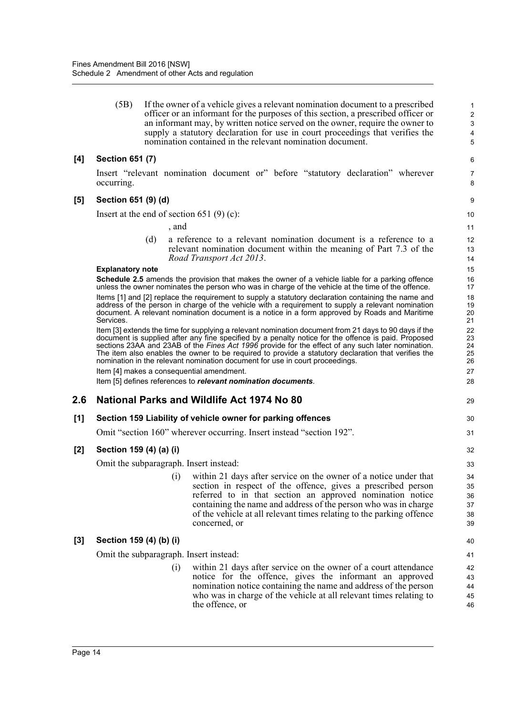(5B) If the owner of a vehicle gives a relevant nomination document to a prescribed officer or an informant for the purposes of this section, a prescribed officer or an informant may, by written notice served on the owner, require the owner to supply a statutory declaration for use in court proceedings that verifies the nomination contained in the relevant nomination document.

29

30 31

# **[4] Section 651 (7)**

Insert "relevant nomination document or" before "statutory declaration" wherever occurring.

#### **[5] Section 651 (9) (d)**

Insert at the end of section 651  $(9)$  (c):

, and

(d) a reference to a relevant nomination document is a reference to a relevant nomination document within the meaning of Part 7.3 of the *Road Transport Act 2013*.

#### **Explanatory note**

**Schedule 2.5** amends the provision that makes the owner of a vehicle liable for a parking offence unless the owner nominates the person who was in charge of the vehicle at the time of the offence.

Items [1] and [2] replace the requirement to supply a statutory declaration containing the name and address of the person in charge of the vehicle with a requirement to supply a relevant nomination document. A relevant nomination document is a notice in a form approved by Roads and Maritime Services.

Item [3] extends the time for supplying a relevant nomination document from 21 days to 90 days if the document is supplied after any fine specified by a penalty notice for the offence is paid. Proposed sections 23AA and 23AB of the *Fines Act 1996* provide for the effect of any such later nomination. The item also enables the owner to be required to provide a statutory declaration that verifies the nomination in the relevant nomination document for use in court proceedings. Item [4] makes a consequential amendment.

Item [5] defines references to *relevant nomination documents*.

# **2.6 National Parks and Wildlife Act 1974 No 80**

#### **[1] Section 159 Liability of vehicle owner for parking offences**

Omit "section 160" wherever occurring. Insert instead "section 192".

# **[2] Section 159 (4) (a) (i)**

Omit the subparagraph. Insert instead:

(i) within 21 days after service on the owner of a notice under that section in respect of the offence, gives a prescribed person referred to in that section an approved nomination notice containing the name and address of the person who was in charge of the vehicle at all relevant times relating to the parking offence concerned, or

# **[3] Section 159 (4) (b) (i)**

Omit the subparagraph. Insert instead:

(i) within 21 days after service on the owner of a court attendance notice for the offence, gives the informant an approved nomination notice containing the name and address of the person who was in charge of the vehicle at all relevant times relating to the offence, or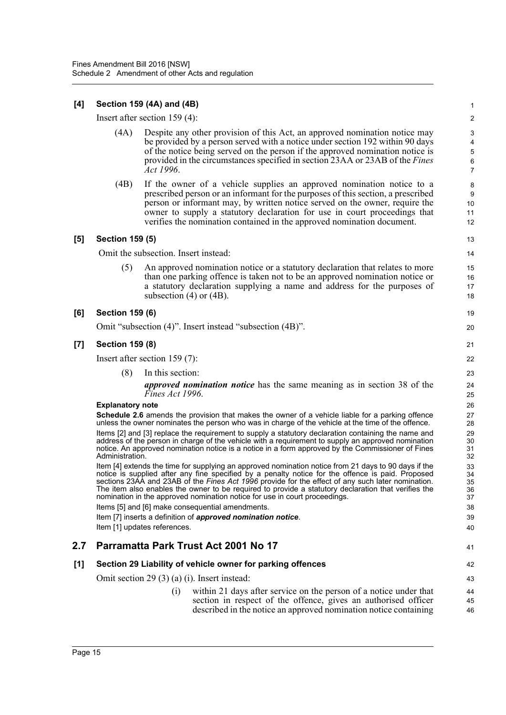# **[4] Section 159 (4A) and (4B)**

Insert after section 159 (4):

(4A) Despite any other provision of this Act, an approved nomination notice may be provided by a person served with a notice under section 192 within 90 days of the notice being served on the person if the approved nomination notice is provided in the circumstances specified in section 23AA or 23AB of the *Fines Act 1996*.

19  $20$ 

 $\overline{4}$ 

42 43

(4B) If the owner of a vehicle supplies an approved nomination notice to a prescribed person or an informant for the purposes of this section, a prescribed person or informant may, by written notice served on the owner, require the owner to supply a statutory declaration for use in court proceedings that verifies the nomination contained in the approved nomination document.

# **[5] Section 159 (5)**

Omit the subsection. Insert instead:

(5) An approved nomination notice or a statutory declaration that relates to more than one parking offence is taken not to be an approved nomination notice or a statutory declaration supplying a name and address for the purposes of subsection (4) or (4B).

#### **[6] Section 159 (6)**

Omit "subsection (4)". Insert instead "subsection (4B)".

#### **[7] Section 159 (8)**

Insert after section 159 (7):

- (8) In this section:
	- *approved nomination notice* has the same meaning as in section 38 of the *Fines Act 1996*.

#### **Explanatory note**

**Schedule 2.6** amends the provision that makes the owner of a vehicle liable for a parking offence unless the owner nominates the person who was in charge of the vehicle at the time of the offence. Items [2] and [3] replace the requirement to supply a statutory declaration containing the name and address of the person in charge of the vehicle with a requirement to supply an approved nomination notice. An approved nomination notice is a notice in a form approved by the Commissioner of Fines Administration.

Item [4] extends the time for supplying an approved nomination notice from 21 days to 90 days if the notice is supplied after any fine specified by a penalty notice for the offence is paid. Proposed sections 23AA and 23AB of the *Fines Act 1996* provide for the effect of any such later nomination. The item also enables the owner to be required to provide a statutory declaration that verifies the nomination in the approved nomination notice for use in court proceedings. Items [5] and [6] make consequential amendments.

Item [7] inserts a definition of *approved nomination notice*.

Item [1] updates references.

# **2.7 Parramatta Park Trust Act 2001 No 17**

# **[1] Section 29 Liability of vehicle owner for parking offences**

Omit section 29 (3) (a) (i). Insert instead:

(i) within 21 days after service on the person of a notice under that section in respect of the offence, gives an authorised officer described in the notice an approved nomination notice containing 44 45 46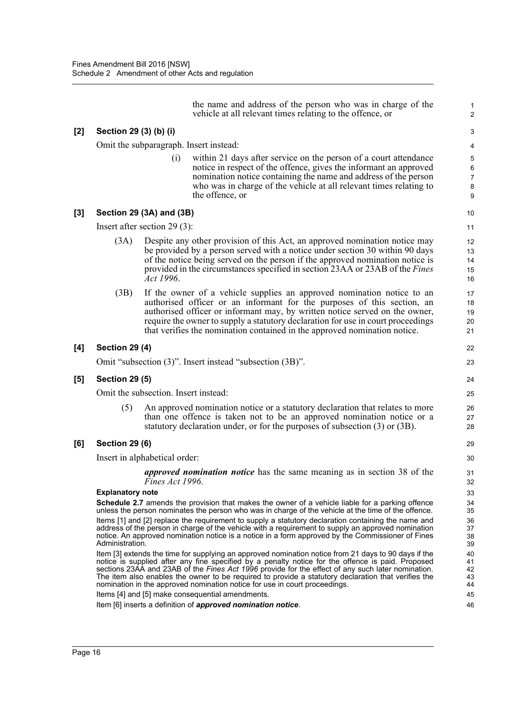$[2]$ 

[3]

 $[4]$ 

 $[5]$ 

**[6] Section 29 (6)**

|                                                                                                                                                                                                                                                                                                                                                         |                                      | vehicle at all relevant times relating to the offence, or                                                                                                                                                                                                                                                                                                                                                                                                                                           | $\overline{c}$             |  |
|---------------------------------------------------------------------------------------------------------------------------------------------------------------------------------------------------------------------------------------------------------------------------------------------------------------------------------------------------------|--------------------------------------|-----------------------------------------------------------------------------------------------------------------------------------------------------------------------------------------------------------------------------------------------------------------------------------------------------------------------------------------------------------------------------------------------------------------------------------------------------------------------------------------------------|----------------------------|--|
| Section 29 (3) (b) (i)                                                                                                                                                                                                                                                                                                                                  |                                      |                                                                                                                                                                                                                                                                                                                                                                                                                                                                                                     | 3                          |  |
|                                                                                                                                                                                                                                                                                                                                                         |                                      | Omit the subparagraph. Insert instead:                                                                                                                                                                                                                                                                                                                                                                                                                                                              | 4                          |  |
|                                                                                                                                                                                                                                                                                                                                                         | (i)                                  | within 21 days after service on the person of a court attendance<br>notice in respect of the offence, gives the informant an approved<br>nomination notice containing the name and address of the person<br>who was in charge of the vehicle at all relevant times relating to<br>the offence, or                                                                                                                                                                                                   | 5<br>6<br>7<br>8<br>9      |  |
|                                                                                                                                                                                                                                                                                                                                                         | Section 29 (3A) and (3B)             |                                                                                                                                                                                                                                                                                                                                                                                                                                                                                                     | 10                         |  |
|                                                                                                                                                                                                                                                                                                                                                         | Insert after section 29 $(3)$ :      |                                                                                                                                                                                                                                                                                                                                                                                                                                                                                                     | 11                         |  |
| (3A)<br>Despite any other provision of this Act, an approved nomination notice may<br>be provided by a person served with a notice under section 30 within 90 days<br>of the notice being served on the person if the approved nomination notice is<br>provided in the circumstances specified in section 23AA or 23AB of the <i>Fines</i><br>Act 1996. |                                      |                                                                                                                                                                                                                                                                                                                                                                                                                                                                                                     |                            |  |
| (3B)                                                                                                                                                                                                                                                                                                                                                    |                                      | If the owner of a vehicle supplies an approved nomination notice to an<br>authorised officer or an informant for the purposes of this section, an<br>authorised officer or informant may, by written notice served on the owner,<br>require the owner to supply a statutory declaration for use in court proceedings<br>that verifies the nomination contained in the approved nomination notice.                                                                                                   | 17<br>18<br>19<br>20<br>21 |  |
| <b>Section 29 (4)</b>                                                                                                                                                                                                                                                                                                                                   |                                      |                                                                                                                                                                                                                                                                                                                                                                                                                                                                                                     | 22                         |  |
|                                                                                                                                                                                                                                                                                                                                                         |                                      | Omit "subsection (3)". Insert instead "subsection (3B)".                                                                                                                                                                                                                                                                                                                                                                                                                                            | 23                         |  |
| <b>Section 29 (5)</b>                                                                                                                                                                                                                                                                                                                                   |                                      |                                                                                                                                                                                                                                                                                                                                                                                                                                                                                                     | 24                         |  |
|                                                                                                                                                                                                                                                                                                                                                         | Omit the subsection. Insert instead: |                                                                                                                                                                                                                                                                                                                                                                                                                                                                                                     | 25                         |  |
| (5)                                                                                                                                                                                                                                                                                                                                                     |                                      | An approved nomination notice or a statutory declaration that relates to more<br>than one offence is taken not to be an approved nomination notice or a<br>statutory declaration under, or for the purposes of subsection (3) or (3B).                                                                                                                                                                                                                                                              | 26<br>27<br>28             |  |
| <b>Section 29 (6)</b>                                                                                                                                                                                                                                                                                                                                   |                                      |                                                                                                                                                                                                                                                                                                                                                                                                                                                                                                     | 29                         |  |
|                                                                                                                                                                                                                                                                                                                                                         | Insert in alphabetical order:        |                                                                                                                                                                                                                                                                                                                                                                                                                                                                                                     | 30                         |  |
|                                                                                                                                                                                                                                                                                                                                                         | Fines Act 1996.                      | <i>approved nomination notice</i> has the same meaning as in section 38 of the                                                                                                                                                                                                                                                                                                                                                                                                                      | 31<br>32                   |  |
| <b>Explanatory note</b>                                                                                                                                                                                                                                                                                                                                 |                                      | <b>Schedule 2.7</b> amends the provision that makes the owner of a vehicle liable for a parking offence<br>unless the person nominates the person who was in charge of the vehicle at the time of the offence.                                                                                                                                                                                                                                                                                      | 33<br>34<br>35             |  |
| Administration.                                                                                                                                                                                                                                                                                                                                         |                                      | Items [1] and [2] replace the requirement to supply a statutory declaration containing the name and<br>address of the person in charge of the vehicle with a requirement to supply an approved nomination<br>notice. An approved nomination notice is a notice in a form approved by the Commissioner of Fines                                                                                                                                                                                      | 36<br>37<br>38<br>39       |  |
|                                                                                                                                                                                                                                                                                                                                                         |                                      | Item [3] extends the time for supplying an approved nomination notice from 21 days to 90 days if the<br>notice is supplied after any fine specified by a penalty notice for the offence is paid. Proposed<br>sections 23AA and 23AB of the Fines Act 1996 provide for the effect of any such later nomination.<br>The item also enables the owner to be required to provide a statutory declaration that verifies the<br>nomination in the approved nomination notice for use in court proceedings. | 40<br>41<br>42<br>43<br>44 |  |
|                                                                                                                                                                                                                                                                                                                                                         |                                      | Items [4] and [5] make consequential amendments.                                                                                                                                                                                                                                                                                                                                                                                                                                                    | 45                         |  |
|                                                                                                                                                                                                                                                                                                                                                         |                                      | Item [6] inserts a definition of <b>approved nomination notice</b> .                                                                                                                                                                                                                                                                                                                                                                                                                                | 46                         |  |

the name and address of the person who was in charge of the

1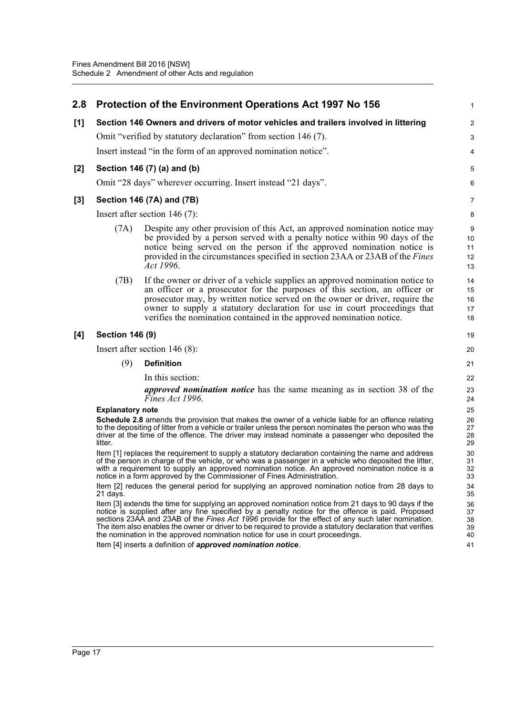| 2.8 |                           | Protection of the Environment Operations Act 1997 No 156                                                                                                                                                                                                                                                                                                                                                                                                                                                      | $\mathbf{1}$               |  |  |  |  |  |  |
|-----|---------------------------|---------------------------------------------------------------------------------------------------------------------------------------------------------------------------------------------------------------------------------------------------------------------------------------------------------------------------------------------------------------------------------------------------------------------------------------------------------------------------------------------------------------|----------------------------|--|--|--|--|--|--|
| [1] |                           | Section 146 Owners and drivers of motor vehicles and trailers involved in littering                                                                                                                                                                                                                                                                                                                                                                                                                           | 2                          |  |  |  |  |  |  |
|     |                           | Omit "verified by statutory declaration" from section 146 (7).                                                                                                                                                                                                                                                                                                                                                                                                                                                | 3                          |  |  |  |  |  |  |
|     |                           | Insert instead "in the form of an approved nomination notice".                                                                                                                                                                                                                                                                                                                                                                                                                                                | 4                          |  |  |  |  |  |  |
| [2] |                           | Section 146 (7) (a) and (b)                                                                                                                                                                                                                                                                                                                                                                                                                                                                                   |                            |  |  |  |  |  |  |
|     |                           | Omit "28 days" wherever occurring. Insert instead "21 days".                                                                                                                                                                                                                                                                                                                                                                                                                                                  | 6                          |  |  |  |  |  |  |
| [3] | Section 146 (7A) and (7B) |                                                                                                                                                                                                                                                                                                                                                                                                                                                                                                               |                            |  |  |  |  |  |  |
|     |                           | Insert after section $146(7)$ :                                                                                                                                                                                                                                                                                                                                                                                                                                                                               | 8                          |  |  |  |  |  |  |
|     | (7A)                      | Despite any other provision of this Act, an approved nomination notice may<br>be provided by a person served with a penalty notice within 90 days of the<br>notice being served on the person if the approved nomination notice is<br>provided in the circumstances specified in section 23AA or 23AB of the <i>Fines</i><br>Act 1996.                                                                                                                                                                        | 9<br>10<br>11<br>12<br>13  |  |  |  |  |  |  |
|     | (7B)                      | If the owner or driver of a vehicle supplies an approved nomination notice to<br>an officer or a prosecutor for the purposes of this section, an officer or<br>prosecutor may, by written notice served on the owner or driver, require the<br>owner to supply a statutory declaration for use in court proceedings that<br>verifies the nomination contained in the approved nomination notice.                                                                                                              | 14<br>15<br>16<br>17<br>18 |  |  |  |  |  |  |
| [4] | <b>Section 146 (9)</b>    |                                                                                                                                                                                                                                                                                                                                                                                                                                                                                                               | 19                         |  |  |  |  |  |  |
|     |                           | Insert after section $146(8)$ :                                                                                                                                                                                                                                                                                                                                                                                                                                                                               | 20                         |  |  |  |  |  |  |
|     | (9)                       | <b>Definition</b>                                                                                                                                                                                                                                                                                                                                                                                                                                                                                             | 21                         |  |  |  |  |  |  |
|     |                           | In this section:                                                                                                                                                                                                                                                                                                                                                                                                                                                                                              | 22                         |  |  |  |  |  |  |
|     |                           | <i>approved nomination notice</i> has the same meaning as in section 38 of the<br>Fines Act 1996.                                                                                                                                                                                                                                                                                                                                                                                                             | 23<br>24                   |  |  |  |  |  |  |
|     | <b>Explanatory note</b>   |                                                                                                                                                                                                                                                                                                                                                                                                                                                                                                               | 25                         |  |  |  |  |  |  |
|     | litter.                   | <b>Schedule 2.8</b> amends the provision that makes the owner of a vehicle liable for an offence relating<br>to the depositing of litter from a vehicle or trailer unless the person nominates the person who was the<br>driver at the time of the offence. The driver may instead nominate a passenger who deposited the                                                                                                                                                                                     | 26<br>27<br>28<br>29       |  |  |  |  |  |  |
|     |                           | Item [1] replaces the requirement to supply a statutory declaration containing the name and address<br>of the person in charge of the vehicle, or who was a passenger in a vehicle who deposited the litter,<br>with a requirement to supply an approved nomination notice. An approved nomination notice is a<br>notice in a form approved by the Commissioner of Fines Administration.                                                                                                                      | 30<br>31<br>32<br>33       |  |  |  |  |  |  |
|     | 21 days.                  | Item [2] reduces the general period for supplying an approved nomination notice from 28 days to                                                                                                                                                                                                                                                                                                                                                                                                               | 34<br>35                   |  |  |  |  |  |  |
|     |                           | Item [3] extends the time for supplying an approved nomination notice from 21 days to 90 days if the<br>notice is supplied after any fine specified by a penalty notice for the offence is paid. Proposed<br>sections 23AA and 23AB of the Fines Act 1996 provide for the effect of any such later nomination.<br>The item also enables the owner or driver to be required to provide a statutory declaration that verifies<br>the nomination in the approved nomination notice for use in court proceedings. | 36<br>37<br>38<br>39<br>40 |  |  |  |  |  |  |
|     |                           | Item [4] inserts a definition of approved nomination notice.                                                                                                                                                                                                                                                                                                                                                                                                                                                  | 41                         |  |  |  |  |  |  |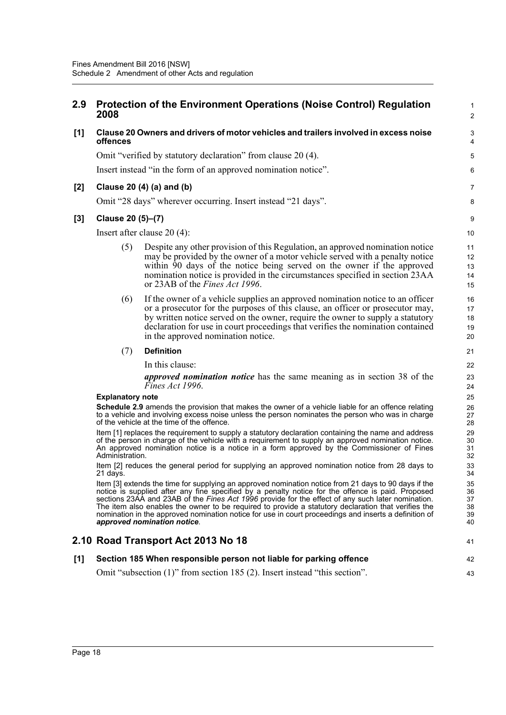# **2.9 Protection of the Environment Operations (Noise Control) Regulation 2008**

1  $\mathfrak{p}$ 

7 8

41

42 43

# **[1] Clause 20 Owners and drivers of motor vehicles and trailers involved in excess noise offences**

Omit "verified by statutory declaration" from clause 20 (4).

Insert instead "in the form of an approved nomination notice".

# **[2] Clause 20 (4) (a) and (b)**

Omit "28 days" wherever occurring. Insert instead "21 days".

# **[3] Clause 20 (5)–(7)**

Insert after clause 20 (4):

- (5) Despite any other provision of this Regulation, an approved nomination notice may be provided by the owner of a motor vehicle served with a penalty notice within 90 days of the notice being served on the owner if the approved nomination notice is provided in the circumstances specified in section 23AA or 23AB of the *Fines Act 1996*.
- (6) If the owner of a vehicle supplies an approved nomination notice to an officer or a prosecutor for the purposes of this clause, an officer or prosecutor may, by written notice served on the owner, require the owner to supply a statutory declaration for use in court proceedings that verifies the nomination contained in the approved nomination notice.

#### (7) **Definition**

In this clause:

*approved nomination notice* has the same meaning as in section 38 of the *Fines Act 1996*.

#### **Explanatory note**

**Schedule 2.9** amends the provision that makes the owner of a vehicle liable for an offence relating to a vehicle and involving excess noise unless the person nominates the person who was in charge of the vehicle at the time of the offence.

Item [1] replaces the requirement to supply a statutory declaration containing the name and address of the person in charge of the vehicle with a requirement to supply an approved nomination notice. An approved nomination notice is a notice in a form approved by the Commissioner of Fines Administration.

Item [2] reduces the general period for supplying an approved nomination notice from 28 days to 21 days.

Item [3] extends the time for supplying an approved nomination notice from 21 days to 90 days if the notice is supplied after any fine specified by a penalty notice for the offence is paid. Proposed sections 23AA and 23AB of the *Fines Act 1996* provide for the effect of any such later nomination. The item also enables the owner to be required to provide a statutory declaration that verifies the nomination in the approved nomination notice for use in court proceedings and inserts a definition of *approved nomination notice*.

# **2.10 Road Transport Act 2013 No 18**

# **[1] Section 185 When responsible person not liable for parking offence**

Omit "subsection (1)" from section 185 (2). Insert instead "this section".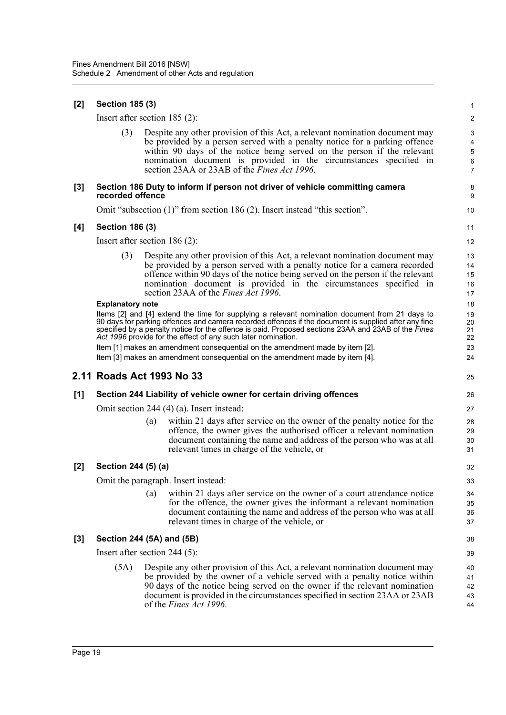| [2]   | <b>Section 185 (3)</b>                    |     |                                                                                                                                                                                                                                                                                                                                                                                |                                                   |  |  |  |
|-------|-------------------------------------------|-----|--------------------------------------------------------------------------------------------------------------------------------------------------------------------------------------------------------------------------------------------------------------------------------------------------------------------------------------------------------------------------------|---------------------------------------------------|--|--|--|
|       | Insert after section $185(2)$ :           |     |                                                                                                                                                                                                                                                                                                                                                                                | $\overline{2}$                                    |  |  |  |
|       | (3)                                       |     | Despite any other provision of this Act, a relevant nomination document may<br>be provided by a person served with a penalty notice for a parking offence<br>within 90 days of the notice being served on the person if the relevant<br>nomination document is provided in the circumstances specified in<br>section 23AA or 23AB of the Fines Act 1996.                       | 3<br>4<br>$\sqrt{5}$<br>$\,6\,$<br>$\overline{7}$ |  |  |  |
| [3]   | recorded offence                          |     | Section 186 Duty to inform if person not driver of vehicle committing camera                                                                                                                                                                                                                                                                                                   | 8<br>9                                            |  |  |  |
|       |                                           |     | Omit "subsection (1)" from section 186 (2). Insert instead "this section".                                                                                                                                                                                                                                                                                                     | 10                                                |  |  |  |
| [4]   | <b>Section 186 (3)</b>                    |     |                                                                                                                                                                                                                                                                                                                                                                                | 11                                                |  |  |  |
|       | Insert after section $186(2)$ :           |     |                                                                                                                                                                                                                                                                                                                                                                                | 12                                                |  |  |  |
|       | (3)                                       |     | Despite any other provision of this Act, a relevant nomination document may<br>be provided by a person served with a penalty notice for a camera recorded<br>offence within 90 days of the notice being served on the person if the relevant<br>nomination document is provided in the circumstances specified in<br>section 23AA of the <i>Fines Act 1996</i> .               | 13<br>14<br>15<br>16<br>17                        |  |  |  |
|       | <b>Explanatory note</b>                   |     | Items [2] and [4] extend the time for supplying a relevant nomination document from 21 days to<br>90 days for parking offences and camera recorded offences if the document is supplied after any fine<br>specified by a penalty notice for the offence is paid. Proposed sections 23AA and 23AB of the Fines<br>Act 1996 provide for the effect of any such later nomination. | 18<br>19<br>20<br>21<br>22                        |  |  |  |
|       |                                           |     | Item [1] makes an amendment consequential on the amendment made by item [2].                                                                                                                                                                                                                                                                                                   | 23                                                |  |  |  |
|       |                                           |     | Item [3] makes an amendment consequential on the amendment made by item [4].                                                                                                                                                                                                                                                                                                   | 24                                                |  |  |  |
|       | 2.11 Roads Act 1993 No 33                 |     |                                                                                                                                                                                                                                                                                                                                                                                | 25                                                |  |  |  |
| [1]   |                                           |     | Section 244 Liability of vehicle owner for certain driving offences                                                                                                                                                                                                                                                                                                            | 26                                                |  |  |  |
|       | Omit section 244 (4) (a). Insert instead: |     |                                                                                                                                                                                                                                                                                                                                                                                |                                                   |  |  |  |
|       |                                           | (a) | within 21 days after service on the owner of the penalty notice for the<br>offence, the owner gives the authorised officer a relevant nomination<br>document containing the name and address of the person who was at all<br>relevant times in charge of the vehicle, or                                                                                                       | 28<br>29<br>30<br>31                              |  |  |  |
| $[2]$ | Section 244 (5) (a)                       |     |                                                                                                                                                                                                                                                                                                                                                                                | 32                                                |  |  |  |
|       |                                           |     | Omit the paragraph. Insert instead:                                                                                                                                                                                                                                                                                                                                            | 33                                                |  |  |  |
|       |                                           | (a) | within 21 days after service on the owner of a court attendance notice<br>for the offence, the owner gives the informant a relevant nomination<br>document containing the name and address of the person who was at all<br>relevant times in charge of the vehicle, or                                                                                                         | 34<br>35<br>36<br>37                              |  |  |  |
| $[3]$ | Section 244 (5A) and (5B)                 |     |                                                                                                                                                                                                                                                                                                                                                                                | 38                                                |  |  |  |
|       | Insert after section 244 $(5)$ :          |     |                                                                                                                                                                                                                                                                                                                                                                                | 39                                                |  |  |  |
|       | (5A)                                      |     | Despite any other provision of this Act, a relevant nomination document may<br>be provided by the owner of a vehicle served with a penalty notice within<br>90 days of the notice being served on the owner if the relevant nomination<br>document is provided in the circumstances specified in section 23AA or 23AB<br>of the <i>Fines Act 1996</i> .                        | 40<br>41<br>42<br>43<br>44                        |  |  |  |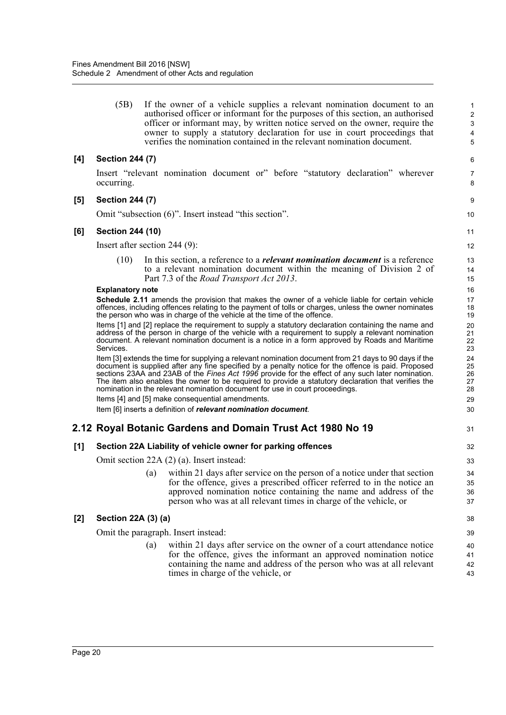(5B) If the owner of a vehicle supplies a relevant nomination document to an authorised officer or informant for the purposes of this section, an authorised officer or informant may, by written notice served on the owner, require the owner to supply a statutory declaration for use in court proceedings that verifies the nomination contained in the relevant nomination document.

31

# **[4] Section 244 (7)**

Insert "relevant nomination document or" before "statutory declaration" wherever occurring.

#### **[5] Section 244 (7)**

Omit "subsection (6)". Insert instead "this section".

#### **[6] Section 244 (10)**

Insert after section 244 (9):

(10) In this section, a reference to a *relevant nomination document* is a reference to a relevant nomination document within the meaning of Division 2 of Part 7.3 of the *Road Transport Act 2013*.

#### **Explanatory note**

**Schedule 2.11** amends the provision that makes the owner of a vehicle liable for certain vehicle offences, including offences relating to the payment of tolls or charges, unless the owner nominates the person who was in charge of the vehicle at the time of the offence.

Items [1] and [2] replace the requirement to supply a statutory declaration containing the name and address of the person in charge of the vehicle with a requirement to supply a relevant nomination document. A relevant nomination document is a notice in a form approved by Roads and Maritime Services.

Item [3] extends the time for supplying a relevant nomination document from 21 days to 90 days if the document is supplied after any fine specified by a penalty notice for the offence is paid. Proposed sections 23AA and 23AB of the *Fines Act 1996* provide for the effect of any such later nomination. The item also enables the owner to be required to provide a statutory declaration that verifies the nomination in the relevant nomination document for use in court proceedings. Items [4] and [5] make consequential amendments.

Item [6] inserts a definition of *relevant nomination document*.

# **2.12 Royal Botanic Gardens and Domain Trust Act 1980 No 19**

# **[1] Section 22A Liability of vehicle owner for parking offences**

Omit section 22A (2) (a). Insert instead:

(a) within 21 days after service on the person of a notice under that section for the offence, gives a prescribed officer referred to in the notice an approved nomination notice containing the name and address of the person who was at all relevant times in charge of the vehicle, or

# **[2] Section 22A (3) (a)**

Omit the paragraph. Insert instead:

(a) within 21 days after service on the owner of a court attendance notice for the offence, gives the informant an approved nomination notice containing the name and address of the person who was at all relevant times in charge of the vehicle, or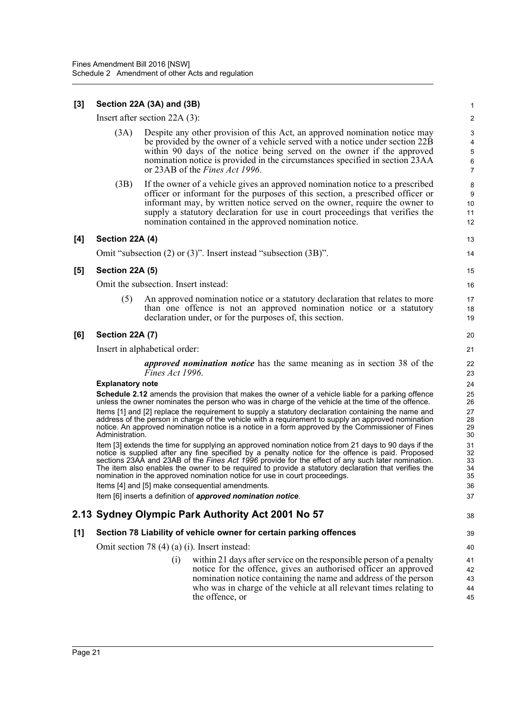# **[3] Section 22A (3A) and (3B)**

Insert after section 22A (3):

(3A) Despite any other provision of this Act, an approved nomination notice may be provided by the owner of a vehicle served with a notice under section 22B within 90 days of the notice being served on the owner if the approved nomination notice is provided in the circumstances specified in section 23AA or 23AB of the *Fines Act 1996*.

13 14

38

(3B) If the owner of a vehicle gives an approved nomination notice to a prescribed officer or informant for the purposes of this section, a prescribed officer or informant may, by written notice served on the owner, require the owner to supply a statutory declaration for use in court proceedings that verifies the nomination contained in the approved nomination notice.

#### **[4] Section 22A (4)**

Omit "subsection (2) or (3)". Insert instead "subsection (3B)".

#### **[5] Section 22A (5)**

Omit the subsection. Insert instead:

(5) An approved nomination notice or a statutory declaration that relates to more than one offence is not an approved nomination notice or a statutory declaration under, or for the purposes of, this section.

#### **[6] Section 22A (7)**

Insert in alphabetical order:

*approved nomination notice* has the same meaning as in section 38 of the *Fines Act 1996*.

#### **Explanatory note**

**Schedule 2.12** amends the provision that makes the owner of a vehicle liable for a parking offence unless the owner nominates the person who was in charge of the vehicle at the time of the offence. Items [1] and [2] replace the requirement to supply a statutory declaration containing the name and address of the person in charge of the vehicle with a requirement to supply an approved nomination notice. An approved nomination notice is a notice in a form approved by the Commissioner of Fines Administration.

Item [3] extends the time for supplying an approved nomination notice from 21 days to 90 days if the notice is supplied after any fine specified by a penalty notice for the offence is paid. Proposed sections 23AA and 23AB of the *Fines Act 1996* provide for the effect of any such later nomination. The item also enables the owner to be required to provide a statutory declaration that verifies the nomination in the approved nomination notice for use in court proceedings. Items [4] and [5] make consequential amendments.

Item [6] inserts a definition of *approved nomination notice*.

# **2.13 Sydney Olympic Park Authority Act 2001 No 57**

# **[1] Section 78 Liability of vehicle owner for certain parking offences**

Omit section 78 (4) (a) (i). Insert instead:

(i) within 21 days after service on the responsible person of a penalty notice for the offence, gives an authorised officer an approved nomination notice containing the name and address of the person who was in charge of the vehicle at all relevant times relating to the offence, or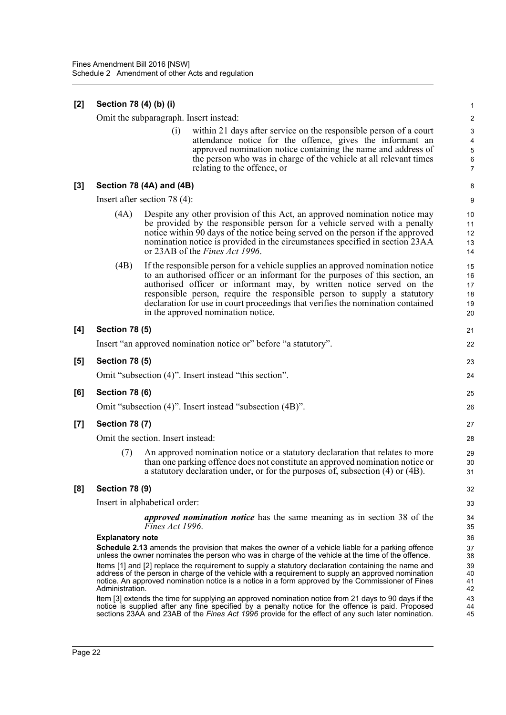| [2]   | Section 78 (4) (b) (i)                                                                                                                                                                                                                                                                                                            |                                 |                                                                                                                                                                                                                                                                                                                                                                                                                                              | $\mathbf{1}$                                                             |  |  |  |  |
|-------|-----------------------------------------------------------------------------------------------------------------------------------------------------------------------------------------------------------------------------------------------------------------------------------------------------------------------------------|---------------------------------|----------------------------------------------------------------------------------------------------------------------------------------------------------------------------------------------------------------------------------------------------------------------------------------------------------------------------------------------------------------------------------------------------------------------------------------------|--------------------------------------------------------------------------|--|--|--|--|
|       | Omit the subparagraph. Insert instead:                                                                                                                                                                                                                                                                                            |                                 |                                                                                                                                                                                                                                                                                                                                                                                                                                              |                                                                          |  |  |  |  |
|       |                                                                                                                                                                                                                                                                                                                                   | (i)                             | within 21 days after service on the responsible person of a court<br>attendance notice for the offence, gives the informant an<br>approved nomination notice containing the name and address of<br>the person who was in charge of the vehicle at all relevant times<br>relating to the offence, or                                                                                                                                          | 3<br>$\overline{\mathbf{4}}$<br>$\mathbf 5$<br>$\,6\,$<br>$\overline{7}$ |  |  |  |  |
| [3]   |                                                                                                                                                                                                                                                                                                                                   | Section 78 (4A) and (4B)        |                                                                                                                                                                                                                                                                                                                                                                                                                                              | 8                                                                        |  |  |  |  |
|       |                                                                                                                                                                                                                                                                                                                                   | Insert after section 78 $(4)$ : |                                                                                                                                                                                                                                                                                                                                                                                                                                              | 9                                                                        |  |  |  |  |
|       | (4A)                                                                                                                                                                                                                                                                                                                              |                                 | Despite any other provision of this Act, an approved nomination notice may<br>be provided by the responsible person for a vehicle served with a penalty<br>notice within 90 days of the notice being served on the person if the approved<br>nomination notice is provided in the circumstances specified in section 23AA<br>or 23AB of the <i>Fines Act 1996</i> .                                                                          | 10<br>11<br>12<br>13<br>14                                               |  |  |  |  |
|       | (4B)                                                                                                                                                                                                                                                                                                                              |                                 | If the responsible person for a vehicle supplies an approved nomination notice<br>to an authorised officer or an informant for the purposes of this section, an<br>authorised officer or informant may, by written notice served on the<br>responsible person, require the responsible person to supply a statutory<br>declaration for use in court proceedings that verifies the nomination contained<br>in the approved nomination notice. | 15<br>16<br>17<br>18<br>19<br>20                                         |  |  |  |  |
| [4]   | <b>Section 78 (5)</b>                                                                                                                                                                                                                                                                                                             |                                 |                                                                                                                                                                                                                                                                                                                                                                                                                                              | 21                                                                       |  |  |  |  |
|       |                                                                                                                                                                                                                                                                                                                                   |                                 | Insert "an approved nomination notice or" before "a statutory".                                                                                                                                                                                                                                                                                                                                                                              | 22                                                                       |  |  |  |  |
| [5]   | <b>Section 78 (5)</b>                                                                                                                                                                                                                                                                                                             |                                 |                                                                                                                                                                                                                                                                                                                                                                                                                                              | 23                                                                       |  |  |  |  |
|       |                                                                                                                                                                                                                                                                                                                                   |                                 | Omit "subsection (4)". Insert instead "this section".                                                                                                                                                                                                                                                                                                                                                                                        | 24                                                                       |  |  |  |  |
| [6]   | <b>Section 78 (6)</b>                                                                                                                                                                                                                                                                                                             |                                 |                                                                                                                                                                                                                                                                                                                                                                                                                                              | 25                                                                       |  |  |  |  |
|       |                                                                                                                                                                                                                                                                                                                                   |                                 | Omit "subsection (4)". Insert instead "subsection (4B)".                                                                                                                                                                                                                                                                                                                                                                                     | 26                                                                       |  |  |  |  |
| $[7]$ | <b>Section 78 (7)</b>                                                                                                                                                                                                                                                                                                             |                                 |                                                                                                                                                                                                                                                                                                                                                                                                                                              | 27                                                                       |  |  |  |  |
|       | Omit the section. Insert instead:                                                                                                                                                                                                                                                                                                 |                                 |                                                                                                                                                                                                                                                                                                                                                                                                                                              |                                                                          |  |  |  |  |
|       | (7)                                                                                                                                                                                                                                                                                                                               |                                 | An approved nomination notice or a statutory declaration that relates to more<br>than one parking offence does not constitute an approved nomination notice or<br>a statutory declaration under, or for the purposes of, subsection (4) or (4B).                                                                                                                                                                                             | 29<br>30<br>31                                                           |  |  |  |  |
| [8]   | <b>Section 78 (9)</b>                                                                                                                                                                                                                                                                                                             |                                 |                                                                                                                                                                                                                                                                                                                                                                                                                                              | 32                                                                       |  |  |  |  |
|       | Insert in alphabetical order:                                                                                                                                                                                                                                                                                                     |                                 |                                                                                                                                                                                                                                                                                                                                                                                                                                              |                                                                          |  |  |  |  |
|       |                                                                                                                                                                                                                                                                                                                                   | Fines Act 1996.                 | <i>approved nomination notice</i> has the same meaning as in section 38 of the                                                                                                                                                                                                                                                                                                                                                               | 34<br>35<br>36                                                           |  |  |  |  |
|       | <b>Explanatory note</b>                                                                                                                                                                                                                                                                                                           |                                 |                                                                                                                                                                                                                                                                                                                                                                                                                                              |                                                                          |  |  |  |  |
|       | <b>Schedule 2.13</b> amends the provision that makes the owner of a vehicle liable for a parking offence<br>unless the owner nominates the person who was in charge of the vehicle at the time of the offence.                                                                                                                    |                                 |                                                                                                                                                                                                                                                                                                                                                                                                                                              |                                                                          |  |  |  |  |
|       | Items [1] and [2] replace the requirement to supply a statutory declaration containing the name and<br>address of the person in charge of the vehicle with a requirement to supply an approved nomination<br>notice. An approved nomination notice is a notice in a form approved by the Commissioner of Fines<br>Administration. |                                 |                                                                                                                                                                                                                                                                                                                                                                                                                                              |                                                                          |  |  |  |  |
|       |                                                                                                                                                                                                                                                                                                                                   |                                 | Item [3] extends the time for supplying an approved nomination notice from 21 days to 90 days if the<br>notice is supplied after any fine specified by a penalty notice for the offence is paid. Proposed<br>sections 23AA and 23AB of the Fines Act 1996 provide for the effect of any such later nomination.                                                                                                                               | 43<br>44<br>45                                                           |  |  |  |  |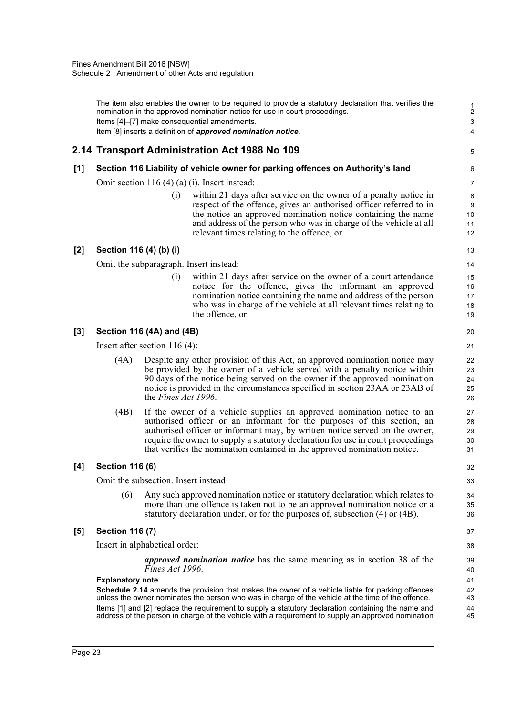The item also enables the owner to be required to provide a statutory declaration that verifies the nomination in the approved nomination notice for use in court proceedings. Items [4]–[7] make consequential amendments. Item [8] inserts a definition of *approved nomination notice*.

# **2.14 Transport Administration Act 1988 No 109**

# **[1] Section 116 Liability of vehicle owner for parking offences on Authority's land**

Omit section 116 (4) (a) (i). Insert instead:

(i) within 21 days after service on the owner of a penalty notice in respect of the offence, gives an authorised officer referred to in the notice an approved nomination notice containing the name and address of the person who was in charge of the vehicle at all relevant times relating to the offence, or

5

# **[2] Section 116 (4) (b) (i)**

Omit the subparagraph. Insert instead:

(i) within 21 days after service on the owner of a court attendance notice for the offence, gives the informant an approved nomination notice containing the name and address of the person who was in charge of the vehicle at all relevant times relating to the offence, or

# **[3] Section 116 (4A) and (4B)**

Insert after section 116 (4):

- (4A) Despite any other provision of this Act, an approved nomination notice may be provided by the owner of a vehicle served with a penalty notice within 90 days of the notice being served on the owner if the approved nomination notice is provided in the circumstances specified in section 23AA or 23AB of the *Fines Act 1996*.
- (4B) If the owner of a vehicle supplies an approved nomination notice to an authorised officer or an informant for the purposes of this section, an authorised officer or informant may, by written notice served on the owner, require the owner to supply a statutory declaration for use in court proceedings that verifies the nomination contained in the approved nomination notice.

# **[4] Section 116 (6)**

Omit the subsection. Insert instead:

(6) Any such approved nomination notice or statutory declaration which relates to more than one offence is taken not to be an approved nomination notice or a statutory declaration under, or for the purposes of, subsection (4) or (4B).

# **[5] Section 116 (7)**

Insert in alphabetical order:

*approved nomination notice* has the same meaning as in section 38 of the *Fines Act 1996*.

#### **Explanatory note**

**Schedule 2.14** amends the provision that makes the owner of a vehicle liable for parking offences unless the owner nominates the person who was in charge of the vehicle at the time of the offence. Items [1] and [2] replace the requirement to supply a statutory declaration containing the name and address of the person in charge of the vehicle with a requirement to supply an approved nomination